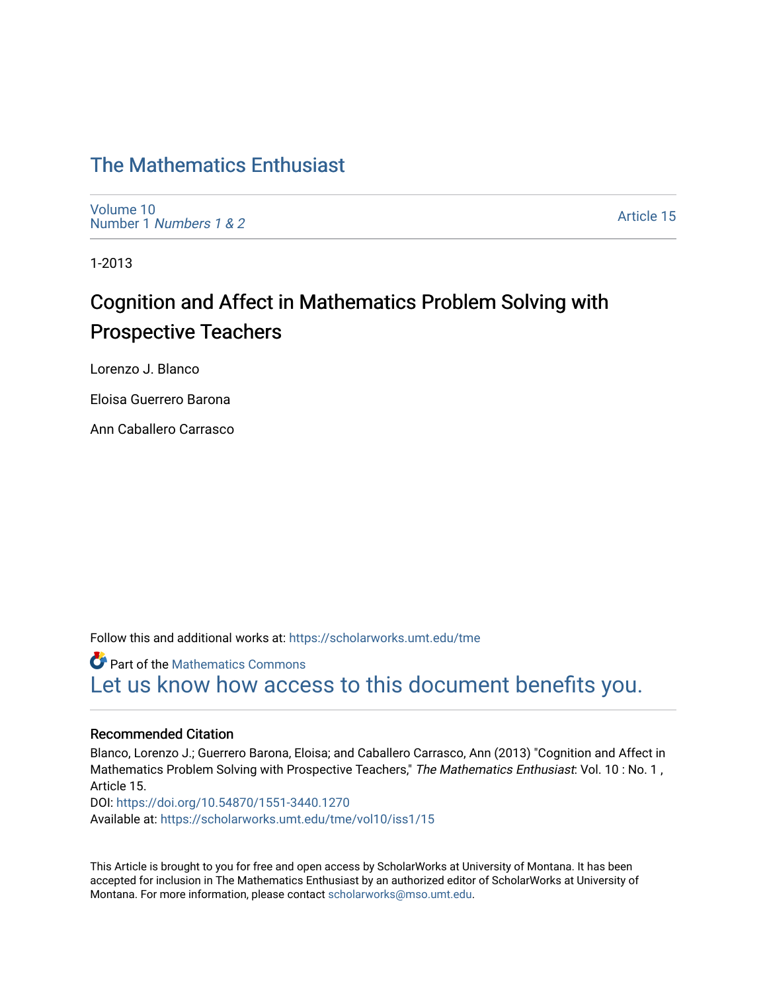## [The Mathematics Enthusiast](https://scholarworks.umt.edu/tme)

[Volume 10](https://scholarworks.umt.edu/tme/vol10) Number 1 [Numbers 1 & 2](https://scholarworks.umt.edu/tme/vol10/iss1)

[Article 15](https://scholarworks.umt.edu/tme/vol10/iss1/15) 

1-2013

# Cognition and Affect in Mathematics Problem Solving with Prospective Teachers

Lorenzo J. Blanco

Eloisa Guerrero Barona

Ann Caballero Carrasco

Follow this and additional works at: [https://scholarworks.umt.edu/tme](https://scholarworks.umt.edu/tme?utm_source=scholarworks.umt.edu%2Ftme%2Fvol10%2Fiss1%2F15&utm_medium=PDF&utm_campaign=PDFCoverPages) 

**Part of the [Mathematics Commons](http://network.bepress.com/hgg/discipline/174?utm_source=scholarworks.umt.edu%2Ftme%2Fvol10%2Fiss1%2F15&utm_medium=PDF&utm_campaign=PDFCoverPages)** [Let us know how access to this document benefits you.](https://goo.gl/forms/s2rGfXOLzz71qgsB2) 

#### Recommended Citation

Blanco, Lorenzo J.; Guerrero Barona, Eloisa; and Caballero Carrasco, Ann (2013) "Cognition and Affect in Mathematics Problem Solving with Prospective Teachers," The Mathematics Enthusiast: Vol. 10 : No. 1, Article 15. DOI:<https://doi.org/10.54870/1551-3440.1270> Available at: [https://scholarworks.umt.edu/tme/vol10/iss1/15](https://scholarworks.umt.edu/tme/vol10/iss1/15?utm_source=scholarworks.umt.edu%2Ftme%2Fvol10%2Fiss1%2F15&utm_medium=PDF&utm_campaign=PDFCoverPages)

This Article is brought to you for free and open access by ScholarWorks at University of Montana. It has been accepted for inclusion in The Mathematics Enthusiast by an authorized editor of ScholarWorks at University of Montana. For more information, please contact [scholarworks@mso.umt.edu.](mailto:scholarworks@mso.umt.edu)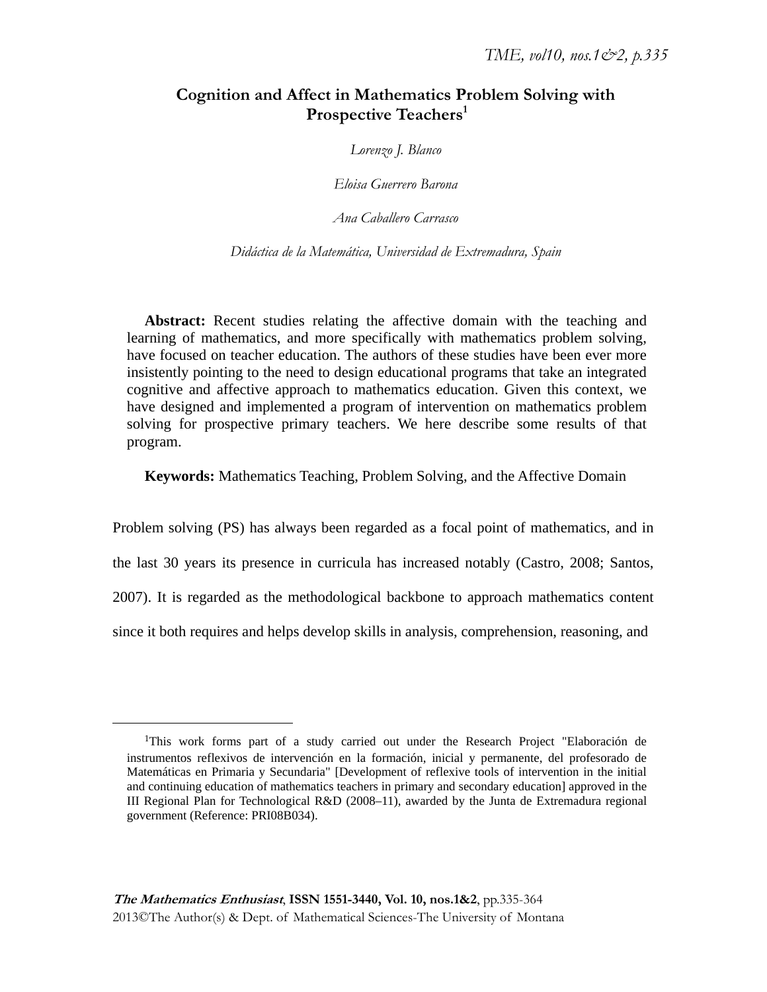## **Cognition and Affect in Mathematics Problem Solving with Prospective Teachers1**

*Lorenzo J. Blanco* 

*Eloisa Guerrero Barona* 

*Ana Caballero Carrasco* 

*Didáctica de la Matemática, Universidad de Extremadura, Spain* 

**Abstract:** Recent studies relating the affective domain with the teaching and learning of mathematics, and more specifically with mathematics problem solving, have focused on teacher education. The authors of these studies have been ever more insistently pointing to the need to design educational programs that take an integrated cognitive and affective approach to mathematics education. Given this context, we have designed and implemented a program of intervention on mathematics problem solving for prospective primary teachers. We here describe some results of that program.

**Keywords:** Mathematics Teaching, Problem Solving, and the Affective Domain

Problem solving (PS) has always been regarded as a focal point of mathematics, and in the last 30 years its presence in curricula has increased notably (Castro, 2008; Santos, 2007). It is regarded as the methodological backbone to approach mathematics content since it both requires and helps develop skills in analysis, comprehension, reasoning, and

 $\overline{a}$ 

<sup>1</sup>This work forms part of a study carried out under the Research Project "Elaboración de instrumentos reflexivos de intervención en la formación, inicial y permanente, del profesorado de Matemáticas en Primaria y Secundaria" [Development of reflexive tools of intervention in the initial and continuing education of mathematics teachers in primary and secondary education] approved in the III Regional Plan for Technological R&D (2008–11), awarded by the Junta de Extremadura regional government (Reference: PRI08B034).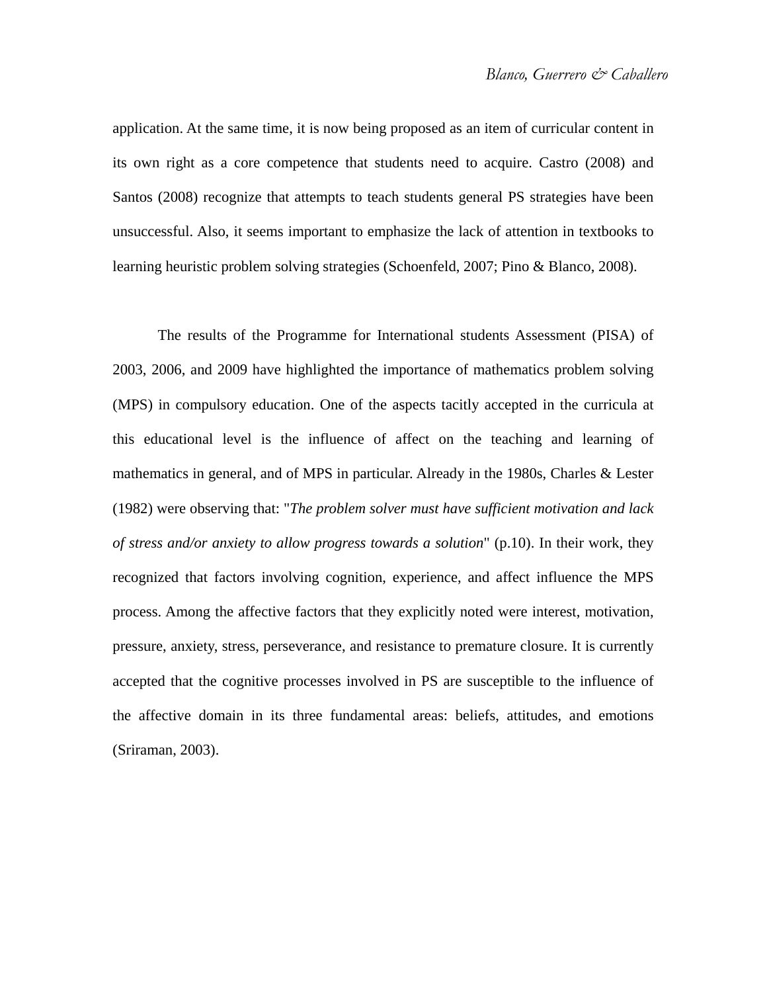application. At the same time, it is now being proposed as an item of curricular content in its own right as a core competence that students need to acquire. Castro (2008) and Santos (2008) recognize that attempts to teach students general PS strategies have been unsuccessful. Also, it seems important to emphasize the lack of attention in textbooks to learning heuristic problem solving strategies (Schoenfeld, 2007; Pino & Blanco, 2008).

The results of the Programme for International students Assessment (PISA) of 2003, 2006, and 2009 have highlighted the importance of mathematics problem solving (MPS) in compulsory education. One of the aspects tacitly accepted in the curricula at this educational level is the influence of affect on the teaching and learning of mathematics in general, and of MPS in particular. Already in the 1980s, Charles & Lester (1982) were observing that: "*The problem solver must have sufficient motivation and lack of stress and/or anxiety to allow progress towards a solution*" (p.10). In their work, they recognized that factors involving cognition, experience, and affect influence the MPS process. Among the affective factors that they explicitly noted were interest, motivation, pressure, anxiety, stress, perseverance, and resistance to premature closure. It is currently accepted that the cognitive processes involved in PS are susceptible to the influence of the affective domain in its three fundamental areas: beliefs, attitudes, and emotions (Sriraman, 2003).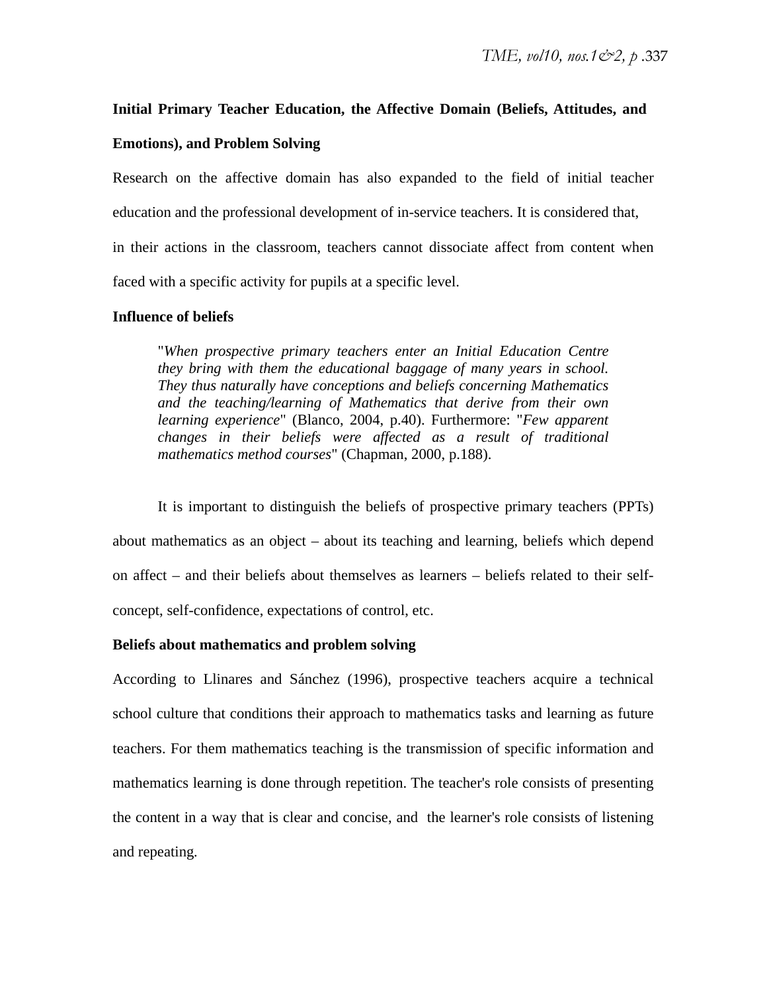## **Initial Primary Teacher Education, the Affective Domain (Beliefs, Attitudes, and**

## **Emotions), and Problem Solving**

Research on the affective domain has also expanded to the field of initial teacher education and the professional development of in-service teachers. It is considered that, in their actions in the classroom, teachers cannot dissociate affect from content when faced with a specific activity for pupils at a specific level.

### **Influence of beliefs**

"*When prospective primary teachers enter an Initial Education Centre they bring with them the educational baggage of many years in school. They thus naturally have conceptions and beliefs concerning Mathematics and the teaching/learning of Mathematics that derive from their own learning experience*" (Blanco, 2004, p.40). Furthermore: "*Few apparent changes in their beliefs were affected as a result of traditional mathematics method courses*" (Chapman, 2000, p.188).

It is important to distinguish the beliefs of prospective primary teachers (PPTs) about mathematics as an object – about its teaching and learning, beliefs which depend on affect – and their beliefs about themselves as learners – beliefs related to their selfconcept, self-confidence, expectations of control, etc.

## **Beliefs about mathematics and problem solving**

According to Llinares and Sánchez (1996), prospective teachers acquire a technical school culture that conditions their approach to mathematics tasks and learning as future teachers. For them mathematics teaching is the transmission of specific information and mathematics learning is done through repetition. The teacher's role consists of presenting the content in a way that is clear and concise, and the learner's role consists of listening and repeating*.*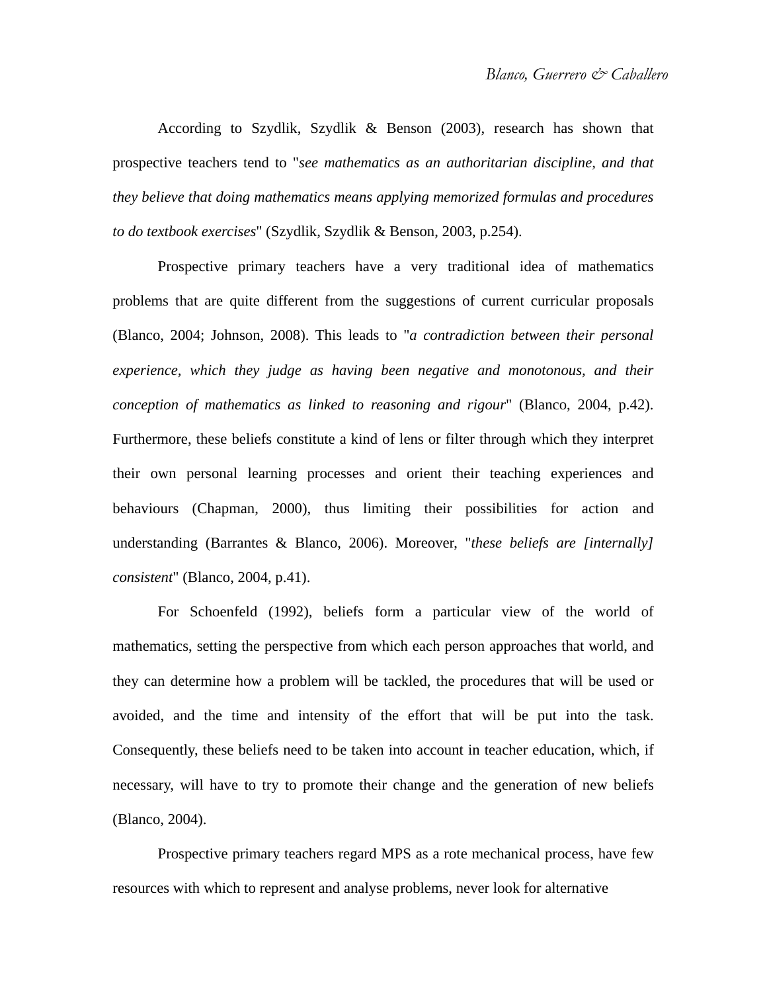According to Szydlik, Szydlik & Benson (2003), research has shown that prospective teachers tend to "*see mathematics as an authoritarian discipline, and that they believe that doing mathematics means applying memorized formulas and procedures to do textbook exercises*" (Szydlik, Szydlik & Benson, 2003, p.254).

Prospective primary teachers have a very traditional idea of mathematics problems that are quite different from the suggestions of current curricular proposals (Blanco, 2004; Johnson, 2008). This leads to "*a contradiction between their personal experience, which they judge as having been negative and monotonous, and their conception of mathematics as linked to reasoning and rigour*" (Blanco, 2004, p.42). Furthermore, these beliefs constitute a kind of lens or filter through which they interpret their own personal learning processes and orient their teaching experiences and behaviours (Chapman, 2000), thus limiting their possibilities for action and understanding (Barrantes & Blanco, 2006). Moreover, "*these beliefs are [internally] consistent*" (Blanco, 2004, p.41).

For Schoenfeld (1992), beliefs form a particular view of the world of mathematics, setting the perspective from which each person approaches that world, and they can determine how a problem will be tackled, the procedures that will be used or avoided, and the time and intensity of the effort that will be put into the task. Consequently, these beliefs need to be taken into account in teacher education, which, if necessary, will have to try to promote their change and the generation of new beliefs (Blanco, 2004).

Prospective primary teachers regard MPS as a rote mechanical process, have few resources with which to represent and analyse problems, never look for alternative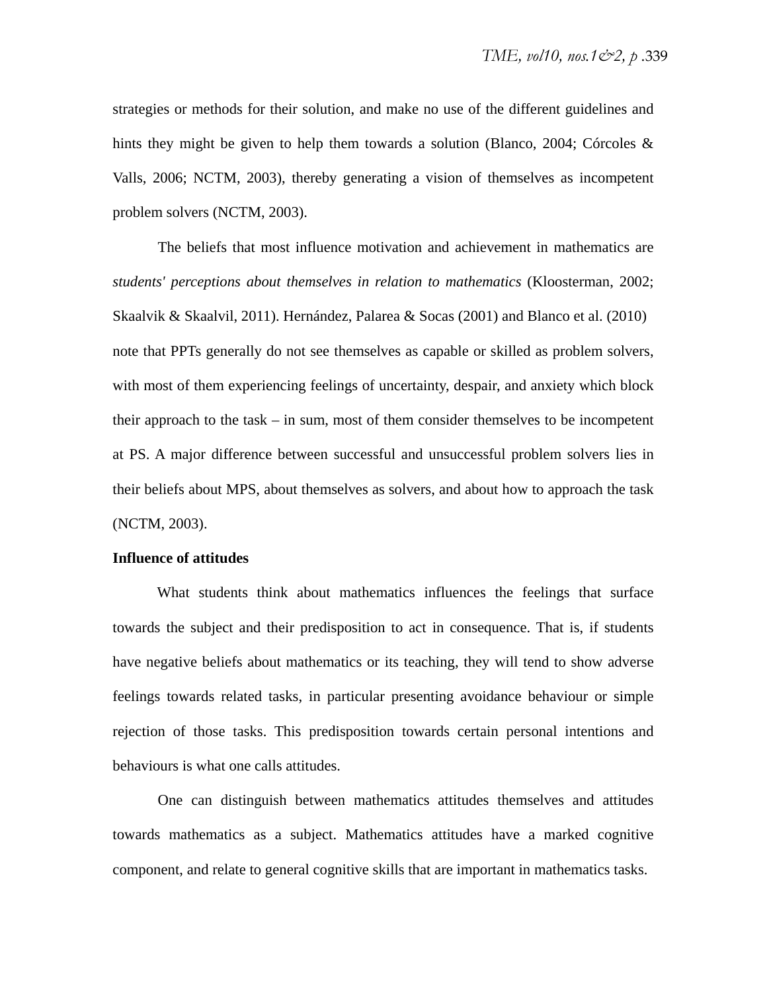strategies or methods for their solution, and make no use of the different guidelines and hints they might be given to help them towards a solution (Blanco, 2004; Córcoles & Valls, 2006; NCTM, 2003), thereby generating a vision of themselves as incompetent problem solvers (NCTM, 2003).

The beliefs that most influence motivation and achievement in mathematics are *students' perceptions about themselves in relation to mathematics* (Kloosterman, 2002; Skaalvik & Skaalvil, 2011). Hernández, Palarea & Socas (2001) and Blanco et al. (2010) note that PPTs generally do not see themselves as capable or skilled as problem solvers, with most of them experiencing feelings of uncertainty, despair, and anxiety which block their approach to the task – in sum, most of them consider themselves to be incompetent at PS. A major difference between successful and unsuccessful problem solvers lies in their beliefs about MPS, about themselves as solvers, and about how to approach the task (NCTM, 2003).

#### **Influence of attitudes**

What students think about mathematics influences the feelings that surface towards the subject and their predisposition to act in consequence. That is, if students have negative beliefs about mathematics or its teaching, they will tend to show adverse feelings towards related tasks, in particular presenting avoidance behaviour or simple rejection of those tasks. This predisposition towards certain personal intentions and behaviours is what one calls attitudes.

One can distinguish between mathematics attitudes themselves and attitudes towards mathematics as a subject. Mathematics attitudes have a marked cognitive component, and relate to general cognitive skills that are important in mathematics tasks.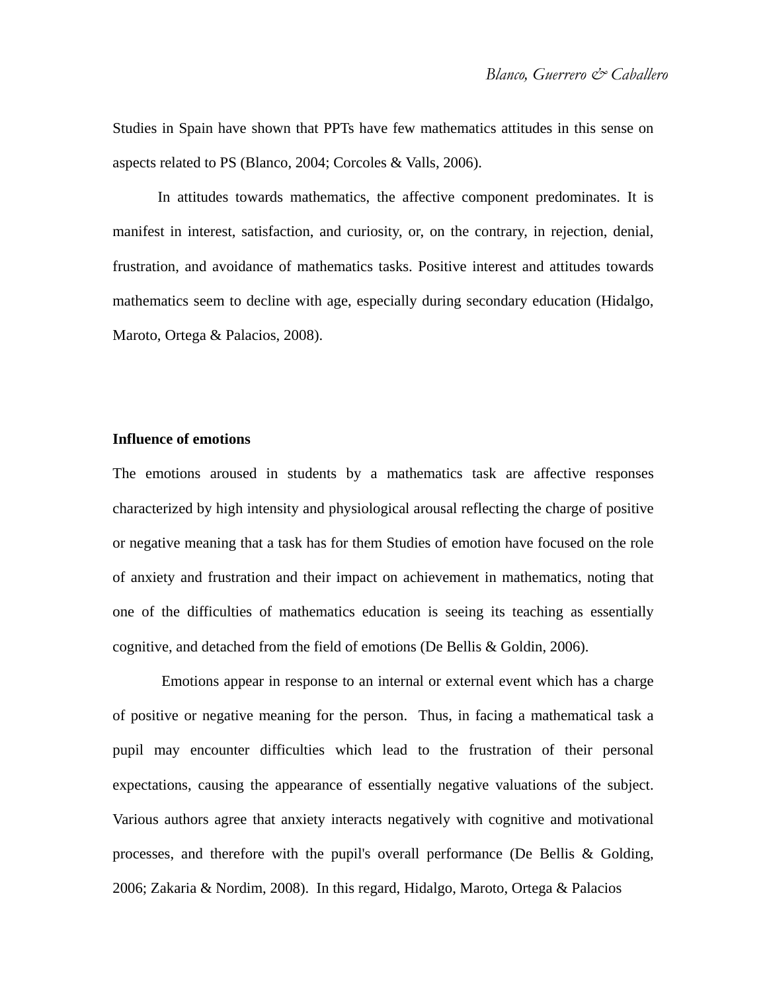Studies in Spain have shown that PPTs have few mathematics attitudes in this sense on aspects related to PS (Blanco, 2004; Corcoles & Valls, 2006).

In attitudes towards mathematics, the affective component predominates. It is manifest in interest, satisfaction, and curiosity, or, on the contrary, in rejection, denial, frustration, and avoidance of mathematics tasks. Positive interest and attitudes towards mathematics seem to decline with age, especially during secondary education (Hidalgo, Maroto, Ortega & Palacios, 2008).

#### **Influence of emotions**

The emotions aroused in students by a mathematics task are affective responses characterized by high intensity and physiological arousal reflecting the charge of positive or negative meaning that a task has for them Studies of emotion have focused on the role of anxiety and frustration and their impact on achievement in mathematics, noting that one of the difficulties of mathematics education is seeing its teaching as essentially cognitive, and detached from the field of emotions (De Bellis & Goldin, 2006).

 Emotions appear in response to an internal or external event which has a charge of positive or negative meaning for the person. Thus, in facing a mathematical task a pupil may encounter difficulties which lead to the frustration of their personal expectations, causing the appearance of essentially negative valuations of the subject. Various authors agree that anxiety interacts negatively with cognitive and motivational processes, and therefore with the pupil's overall performance (De Bellis & Golding, 2006; Zakaria & Nordim, 2008). In this regard, Hidalgo, Maroto, Ortega & Palacios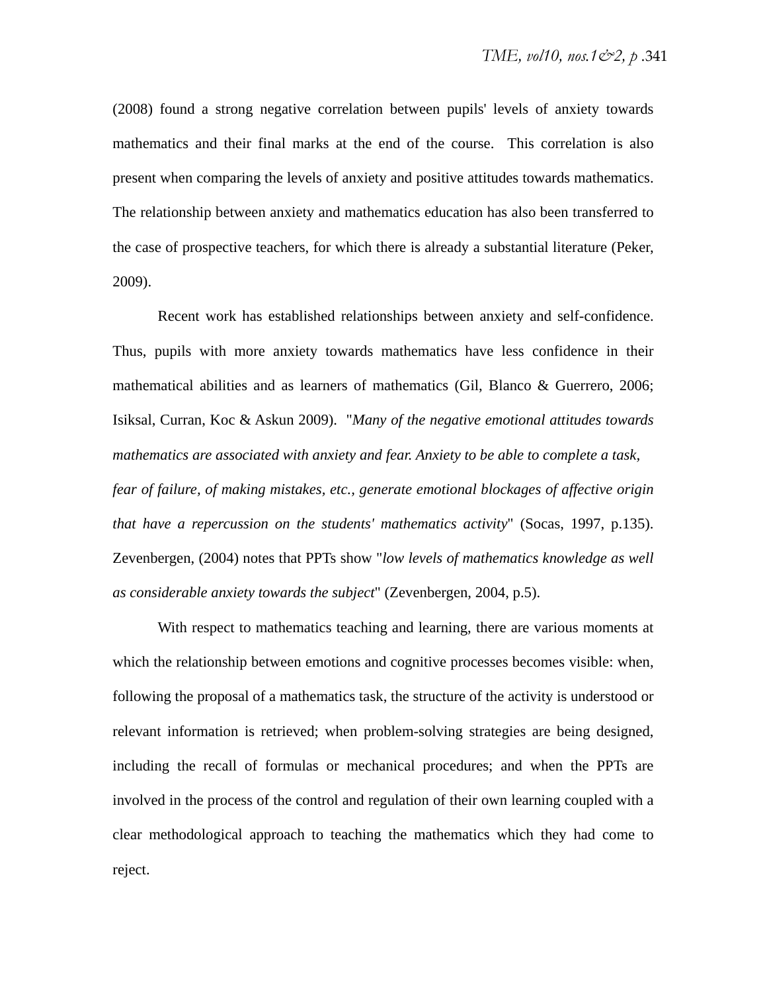(2008) found a strong negative correlation between pupils' levels of anxiety towards mathematics and their final marks at the end of the course. This correlation is also present when comparing the levels of anxiety and positive attitudes towards mathematics. The relationship between anxiety and mathematics education has also been transferred to the case of prospective teachers, for which there is already a substantial literature (Peker, 2009).

Recent work has established relationships between anxiety and self-confidence. Thus, pupils with more anxiety towards mathematics have less confidence in their mathematical abilities and as learners of mathematics (Gil, Blanco & Guerrero, 2006; Isiksal, Curran, Koc & Askun 2009). "*Many of the negative emotional attitudes towards mathematics are associated with anxiety and fear. Anxiety to be able to complete a task, fear of failure, of making mistakes, etc., generate emotional blockages of affective origin that have a repercussion on the students' mathematics activity*" (Socas, 1997, p.135). Zevenbergen, (2004) notes that PPTs show "*low levels of mathematics knowledge as well as considerable anxiety towards the subject*" (Zevenbergen, 2004, p.5).

With respect to mathematics teaching and learning, there are various moments at which the relationship between emotions and cognitive processes becomes visible: when, following the proposal of a mathematics task, the structure of the activity is understood or relevant information is retrieved; when problem-solving strategies are being designed, including the recall of formulas or mechanical procedures; and when the PPTs are involved in the process of the control and regulation of their own learning coupled with a clear methodological approach to teaching the mathematics which they had come to reject.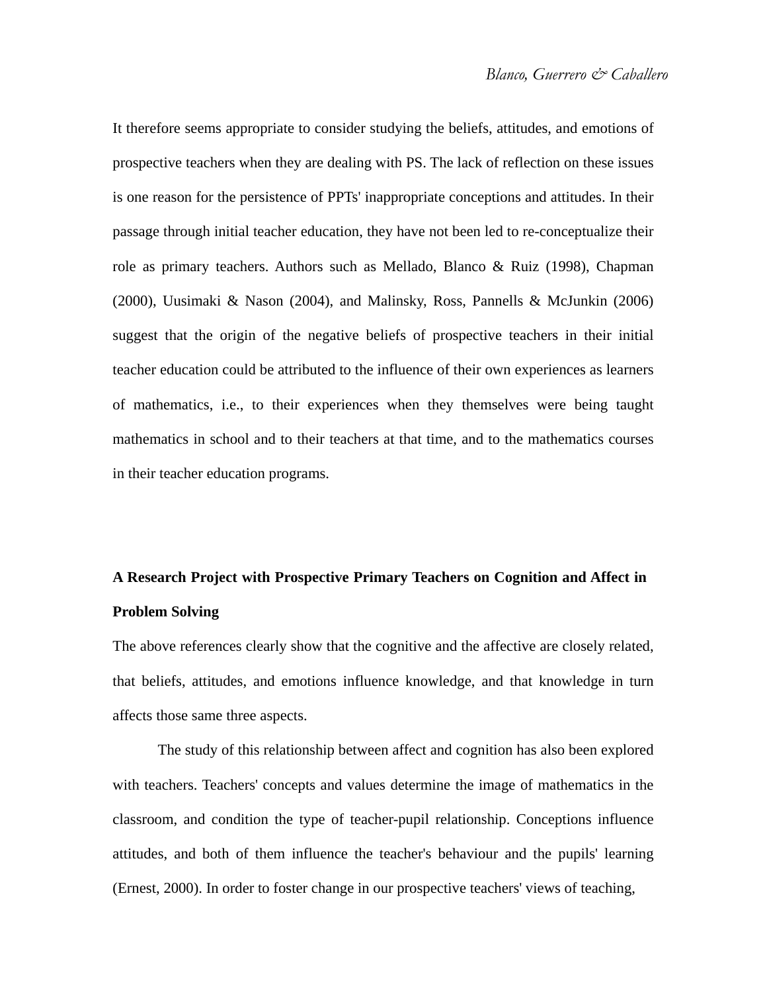It therefore seems appropriate to consider studying the beliefs, attitudes, and emotions of prospective teachers when they are dealing with PS. The lack of reflection on these issues is one reason for the persistence of PPTs' inappropriate conceptions and attitudes. In their passage through initial teacher education, they have not been led to re-conceptualize their role as primary teachers. Authors such as Mellado, Blanco & Ruiz (1998), Chapman (2000), Uusimaki & Nason (2004), and Malinsky, Ross, Pannells & McJunkin (2006) suggest that the origin of the negative beliefs of prospective teachers in their initial teacher education could be attributed to the influence of their own experiences as learners of mathematics, i.e., to their experiences when they themselves were being taught mathematics in school and to their teachers at that time, and to the mathematics courses in their teacher education programs.

## **A Research Project with Prospective Primary Teachers on Cognition and Affect in Problem Solving**

The above references clearly show that the cognitive and the affective are closely related, that beliefs, attitudes, and emotions influence knowledge, and that knowledge in turn affects those same three aspects.

The study of this relationship between affect and cognition has also been explored with teachers. Teachers' concepts and values determine the image of mathematics in the classroom, and condition the type of teacher-pupil relationship. Conceptions influence attitudes, and both of them influence the teacher's behaviour and the pupils' learning (Ernest, 2000). In order to foster change in our prospective teachers' views of teaching,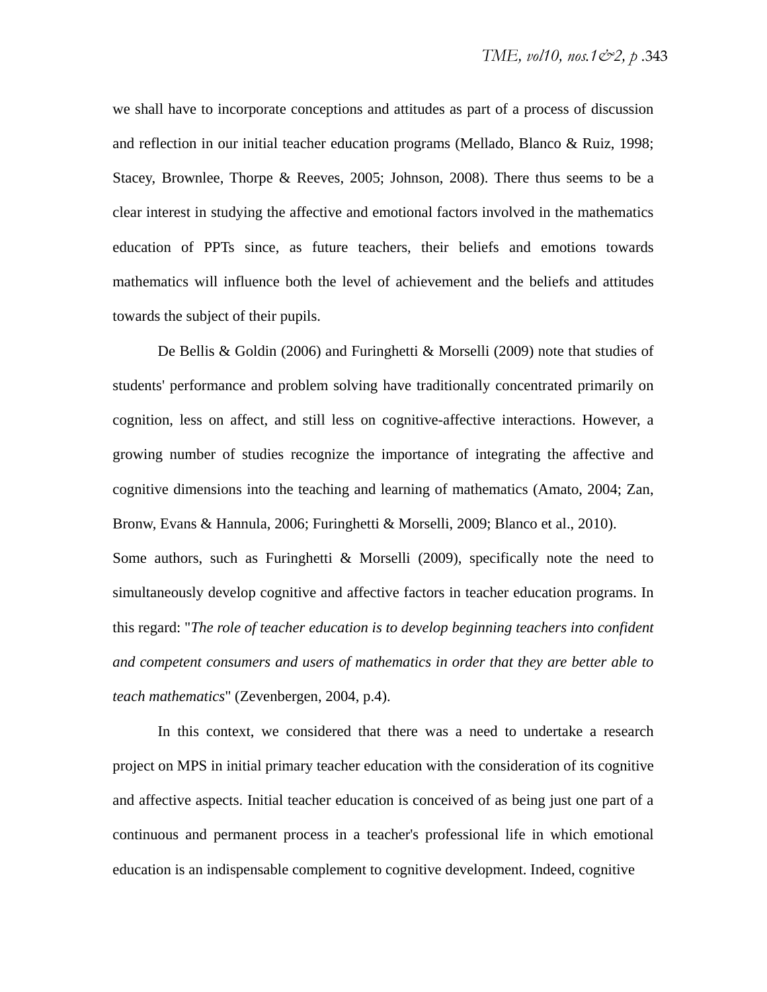we shall have to incorporate conceptions and attitudes as part of a process of discussion and reflection in our initial teacher education programs (Mellado, Blanco & Ruiz, 1998; Stacey, Brownlee, Thorpe & Reeves, 2005; Johnson, 2008). There thus seems to be a clear interest in studying the affective and emotional factors involved in the mathematics education of PPTs since, as future teachers, their beliefs and emotions towards mathematics will influence both the level of achievement and the beliefs and attitudes towards the subject of their pupils.

De Bellis & Goldin (2006) and Furinghetti & Morselli (2009) note that studies of students' performance and problem solving have traditionally concentrated primarily on cognition, less on affect, and still less on cognitive-affective interactions. However, a growing number of studies recognize the importance of integrating the affective and cognitive dimensions into the teaching and learning of mathematics (Amato, 2004; Zan, Bronw, Evans & Hannula, 2006; Furinghetti & Morselli, 2009; Blanco et al., 2010). Some authors, such as Furinghetti  $&$  Morselli (2009), specifically note the need to simultaneously develop cognitive and affective factors in teacher education programs. In this regard: "*The role of teacher education is to develop beginning teachers into confident and competent consumers and users of mathematics in order that they are better able to teach mathematics*" (Zevenbergen, 2004, p.4).

In this context, we considered that there was a need to undertake a research project on MPS in initial primary teacher education with the consideration of its cognitive and affective aspects. Initial teacher education is conceived of as being just one part of a continuous and permanent process in a teacher's professional life in which emotional education is an indispensable complement to cognitive development. Indeed, cognitive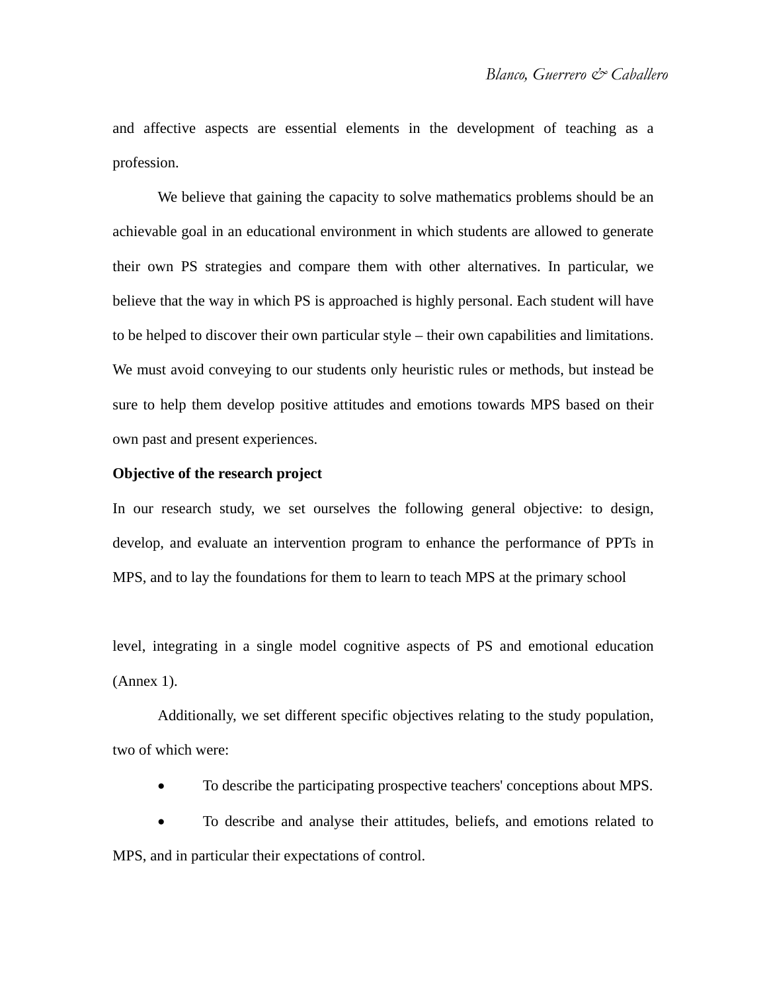and affective aspects are essential elements in the development of teaching as a profession.

We believe that gaining the capacity to solve mathematics problems should be an achievable goal in an educational environment in which students are allowed to generate their own PS strategies and compare them with other alternatives. In particular, we believe that the way in which PS is approached is highly personal. Each student will have to be helped to discover their own particular style – their own capabilities and limitations. We must avoid conveying to our students only heuristic rules or methods, but instead be sure to help them develop positive attitudes and emotions towards MPS based on their own past and present experiences.

#### **Objective of the research project**

In our research study, we set ourselves the following general objective: to design, develop, and evaluate an intervention program to enhance the performance of PPTs in MPS, and to lay the foundations for them to learn to teach MPS at the primary school

level, integrating in a single model cognitive aspects of PS and emotional education (Annex 1).

Additionally, we set different specific objectives relating to the study population, two of which were:

To describe the participating prospective teachers' conceptions about MPS.

 To describe and analyse their attitudes, beliefs, and emotions related to MPS, and in particular their expectations of control.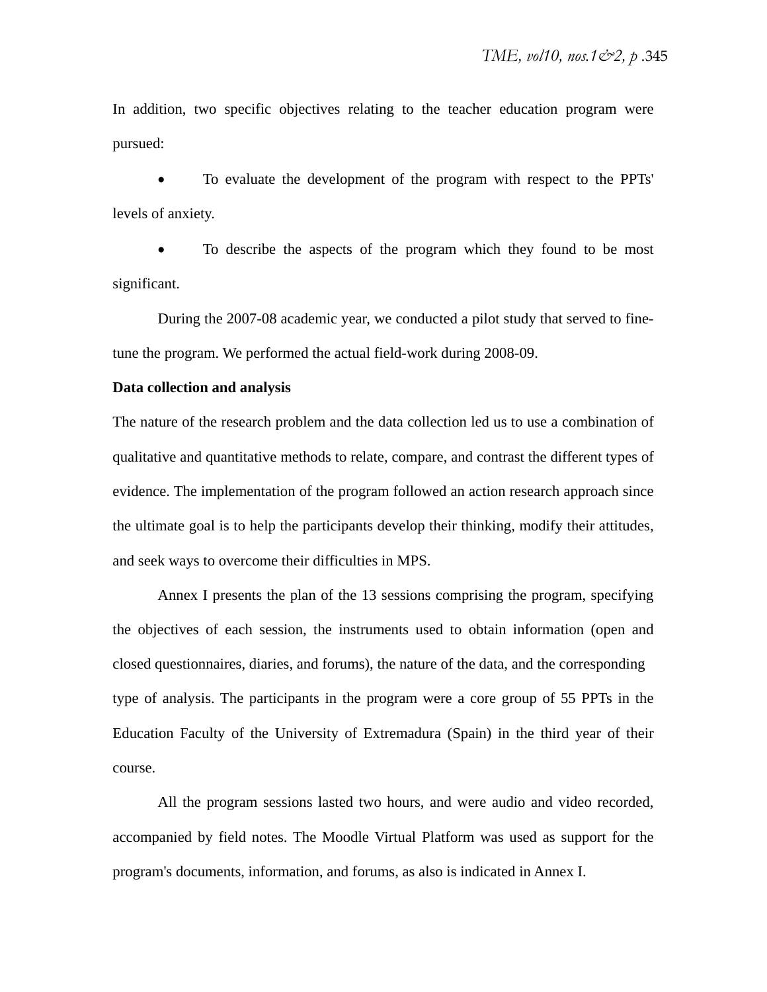In addition, two specific objectives relating to the teacher education program were pursued:

 To evaluate the development of the program with respect to the PPTs' levels of anxiety.

 To describe the aspects of the program which they found to be most significant.

During the 2007-08 academic year, we conducted a pilot study that served to finetune the program. We performed the actual field-work during 2008-09.

#### **Data collection and analysis**

The nature of the research problem and the data collection led us to use a combination of qualitative and quantitative methods to relate, compare, and contrast the different types of evidence. The implementation of the program followed an action research approach since the ultimate goal is to help the participants develop their thinking, modify their attitudes, and seek ways to overcome their difficulties in MPS.

Annex I presents the plan of the 13 sessions comprising the program, specifying the objectives of each session, the instruments used to obtain information (open and closed questionnaires, diaries, and forums), the nature of the data, and the corresponding type of analysis. The participants in the program were a core group of 55 PPTs in the Education Faculty of the University of Extremadura (Spain) in the third year of their course.

All the program sessions lasted two hours, and were audio and video recorded, accompanied by field notes. The Moodle Virtual Platform was used as support for the program's documents, information, and forums, as also is indicated in Annex I.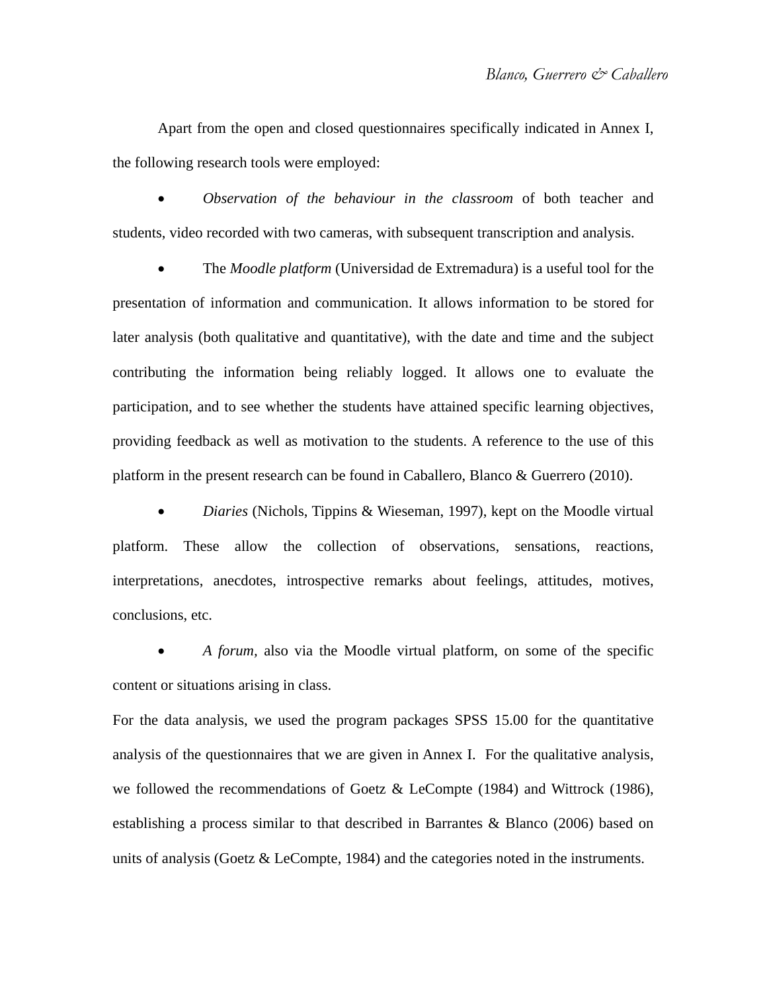Apart from the open and closed questionnaires specifically indicated in Annex I, the following research tools were employed:

 *Observation of the behaviour in the classroom* of both teacher and students, video recorded with two cameras, with subsequent transcription and analysis.

 The *Moodle platform* (Universidad de Extremadura) is a useful tool for the presentation of information and communication. It allows information to be stored for later analysis (both qualitative and quantitative), with the date and time and the subject contributing the information being reliably logged. It allows one to evaluate the participation, and to see whether the students have attained specific learning objectives, providing feedback as well as motivation to the students. A reference to the use of this platform in the present research can be found in Caballero, Blanco & Guerrero (2010).

 *Diaries* (Nichols, Tippins & Wieseman, 1997), kept on the Moodle virtual platform. These allow the collection of observations, sensations, reactions, interpretations, anecdotes, introspective remarks about feelings, attitudes, motives, conclusions, etc.

 *A forum,* also via the Moodle virtual platform, on some of the specific content or situations arising in class.

For the data analysis, we used the program packages SPSS 15.00 for the quantitative analysis of the questionnaires that we are given in Annex I. For the qualitative analysis, we followed the recommendations of Goetz & LeCompte (1984) and Wittrock (1986), establishing a process similar to that described in Barrantes & Blanco (2006) based on units of analysis (Goetz  $&$  LeCompte, 1984) and the categories noted in the instruments.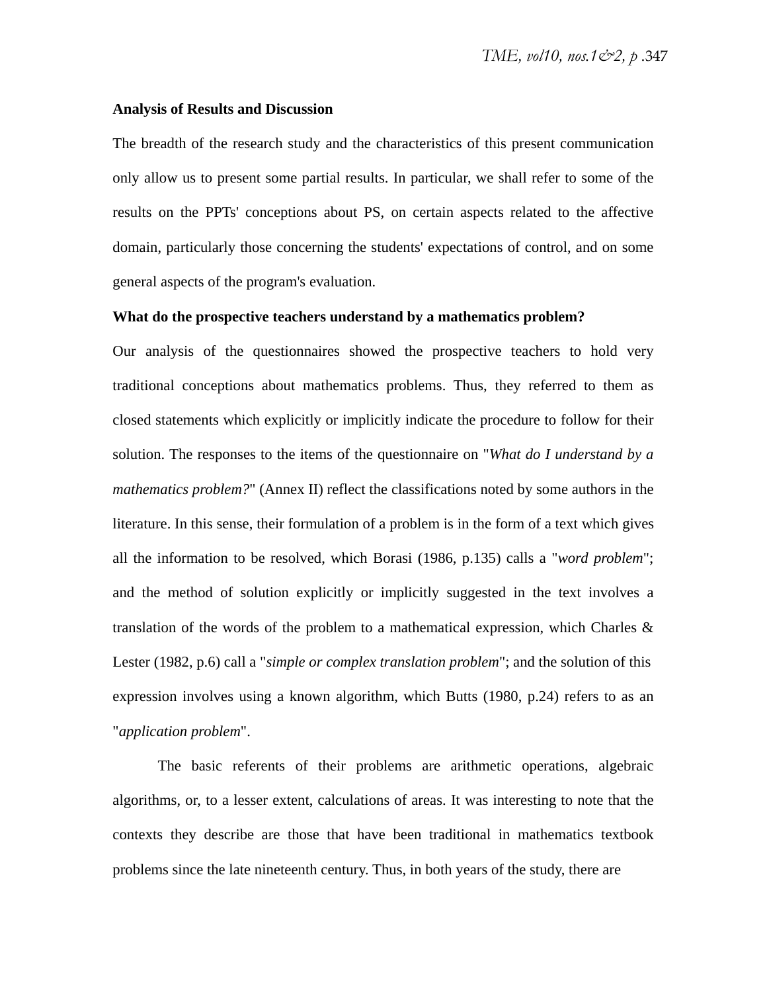#### **Analysis of Results and Discussion**

The breadth of the research study and the characteristics of this present communication only allow us to present some partial results. In particular, we shall refer to some of the results on the PPTs' conceptions about PS, on certain aspects related to the affective domain, particularly those concerning the students' expectations of control, and on some general aspects of the program's evaluation.

#### **What do the prospective teachers understand by a mathematics problem?**

Our analysis of the questionnaires showed the prospective teachers to hold very traditional conceptions about mathematics problems. Thus, they referred to them as closed statements which explicitly or implicitly indicate the procedure to follow for their solution. The responses to the items of the questionnaire on "*What do I understand by a mathematics problem?*" (Annex II) reflect the classifications noted by some authors in the literature. In this sense, their formulation of a problem is in the form of a text which gives all the information to be resolved, which Borasi (1986, p.135) calls a "*word problem*"; and the method of solution explicitly or implicitly suggested in the text involves a translation of the words of the problem to a mathematical expression, which Charles & Lester (1982, p.6) call a "*simple or complex translation problem*"; and the solution of this expression involves using a known algorithm, which Butts (1980, p.24) refers to as an "*application problem*".

The basic referents of their problems are arithmetic operations, algebraic algorithms, or, to a lesser extent, calculations of areas. It was interesting to note that the contexts they describe are those that have been traditional in mathematics textbook problems since the late nineteenth century. Thus, in both years of the study, there are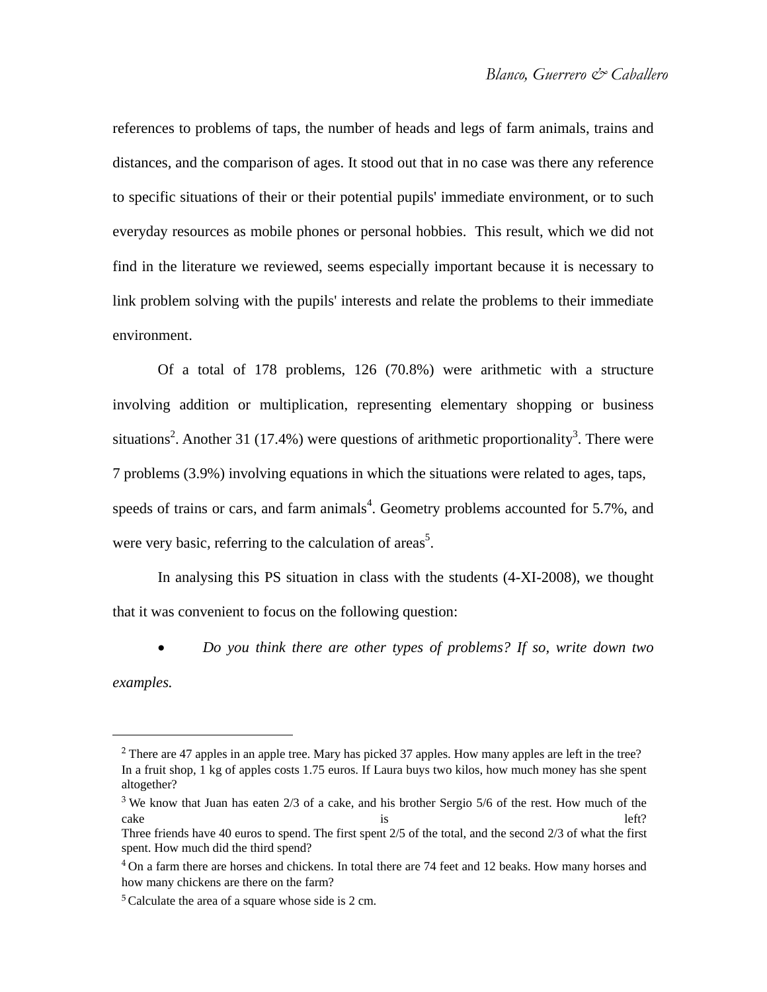references to problems of taps, the number of heads and legs of farm animals, trains and distances, and the comparison of ages. It stood out that in no case was there any reference to specific situations of their or their potential pupils' immediate environment, or to such everyday resources as mobile phones or personal hobbies. This result, which we did not find in the literature we reviewed, seems especially important because it is necessary to link problem solving with the pupils' interests and relate the problems to their immediate environment.

Of a total of 178 problems, 126 (70.8%) were arithmetic with a structure involving addition or multiplication, representing elementary shopping or business situations<sup>2</sup>. Another 31 (17.4%) were questions of arithmetic proportionality<sup>3</sup>. There were 7 problems (3.9%) involving equations in which the situations were related to ages, taps, speeds of trains or cars, and farm animals<sup>4</sup>. Geometry problems accounted for 5.7%, and were very basic, referring to the calculation of  $\arccos^5$ .

In analysing this PS situation in class with the students (4-XI-2008), we thought that it was convenient to focus on the following question:

*Do you think there are other types of problems? If so, write down two* 

*examples.*

 $\overline{a}$ 

<sup>2</sup> There are 47 apples in an apple tree. Mary has picked 37 apples. How many apples are left in the tree? In a fruit shop, 1 kg of apples costs 1.75 euros. If Laura buys two kilos, how much money has she spent altogether?

<sup>3</sup> We know that Juan has eaten 2/3 of a cake, and his brother Sergio 5/6 of the rest. How much of the cake left?

Three friends have 40 euros to spend. The first spent 2/5 of the total, and the second 2/3 of what the first spent. How much did the third spend?

<sup>4</sup> On a farm there are horses and chickens. In total there are 74 feet and 12 beaks. How many horses and how many chickens are there on the farm?

<sup>5</sup>Calculate the area of a square whose side is 2 cm.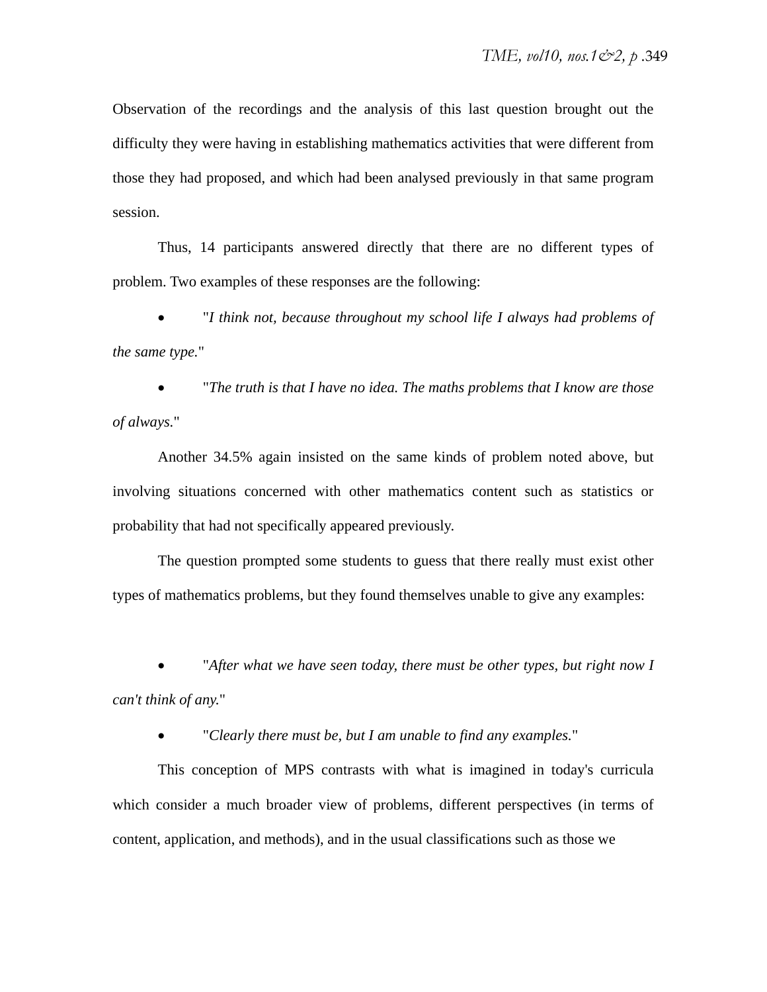Observation of the recordings and the analysis of this last question brought out the difficulty they were having in establishing mathematics activities that were different from those they had proposed, and which had been analysed previously in that same program session.

Thus, 14 participants answered directly that there are no different types of problem. Two examples of these responses are the following:

 "*I think not, because throughout my school life I always had problems of the same type.*"

 "*The truth is that I have no idea. The maths problems that I know are those of always.*"

Another 34.5% again insisted on the same kinds of problem noted above, but involving situations concerned with other mathematics content such as statistics or probability that had not specifically appeared previously.

The question prompted some students to guess that there really must exist other types of mathematics problems, but they found themselves unable to give any examples:

 "*After what we have seen today, there must be other types, but right now I can't think of any.*"

"*Clearly there must be, but I am unable to find any examples.*"

This conception of MPS contrasts with what is imagined in today's curricula which consider a much broader view of problems, different perspectives (in terms of content, application, and methods), and in the usual classifications such as those we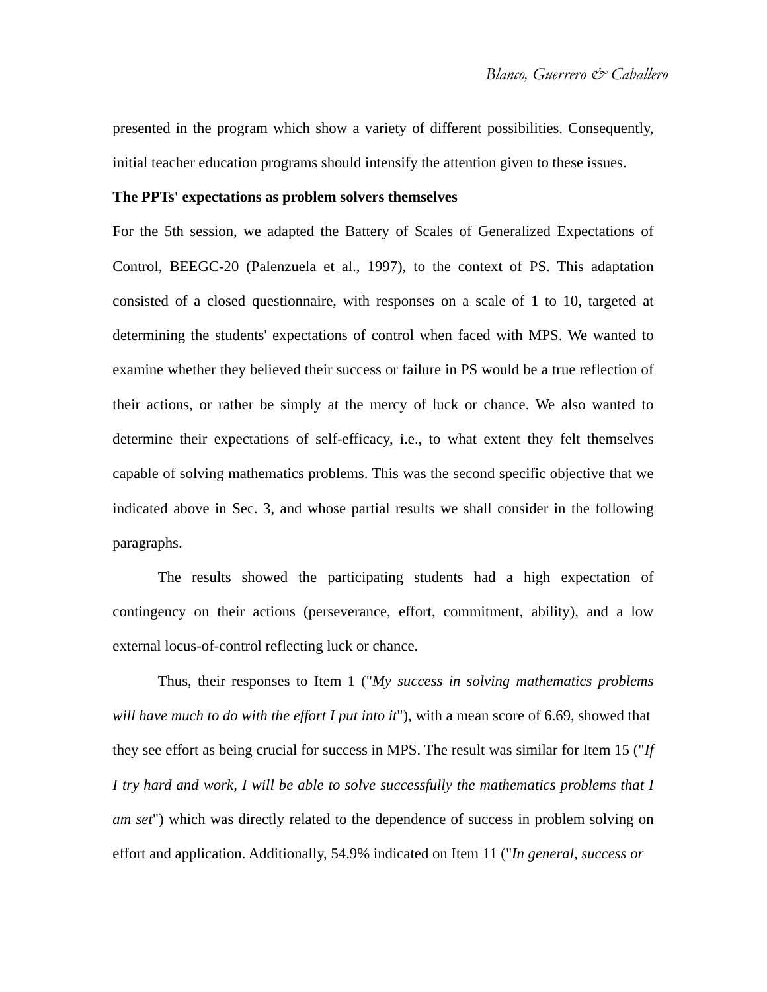presented in the program which show a variety of different possibilities. Consequently, initial teacher education programs should intensify the attention given to these issues.

#### **The PPTs' expectations as problem solvers themselves**

For the 5th session, we adapted the Battery of Scales of Generalized Expectations of Control, BEEGC-20 (Palenzuela et al., 1997), to the context of PS. This adaptation consisted of a closed questionnaire, with responses on a scale of 1 to 10, targeted at determining the students' expectations of control when faced with MPS. We wanted to examine whether they believed their success or failure in PS would be a true reflection of their actions, or rather be simply at the mercy of luck or chance. We also wanted to determine their expectations of self-efficacy, i.e., to what extent they felt themselves capable of solving mathematics problems. This was the second specific objective that we indicated above in Sec. 3, and whose partial results we shall consider in the following paragraphs.

The results showed the participating students had a high expectation of contingency on their actions (perseverance, effort, commitment, ability), and a low external locus-of-control reflecting luck or chance.

Thus, their responses to Item 1 ("*My success in solving mathematics problems will have much to do with the effort I put into it*"), with a mean score of 6.69, showed that they see effort as being crucial for success in MPS. The result was similar for Item 15 ("*If I try hard and work, I will be able to solve successfully the mathematics problems that I am set*") which was directly related to the dependence of success in problem solving on effort and application. Additionally, 54.9% indicated on Item 11 ("*In general, success or*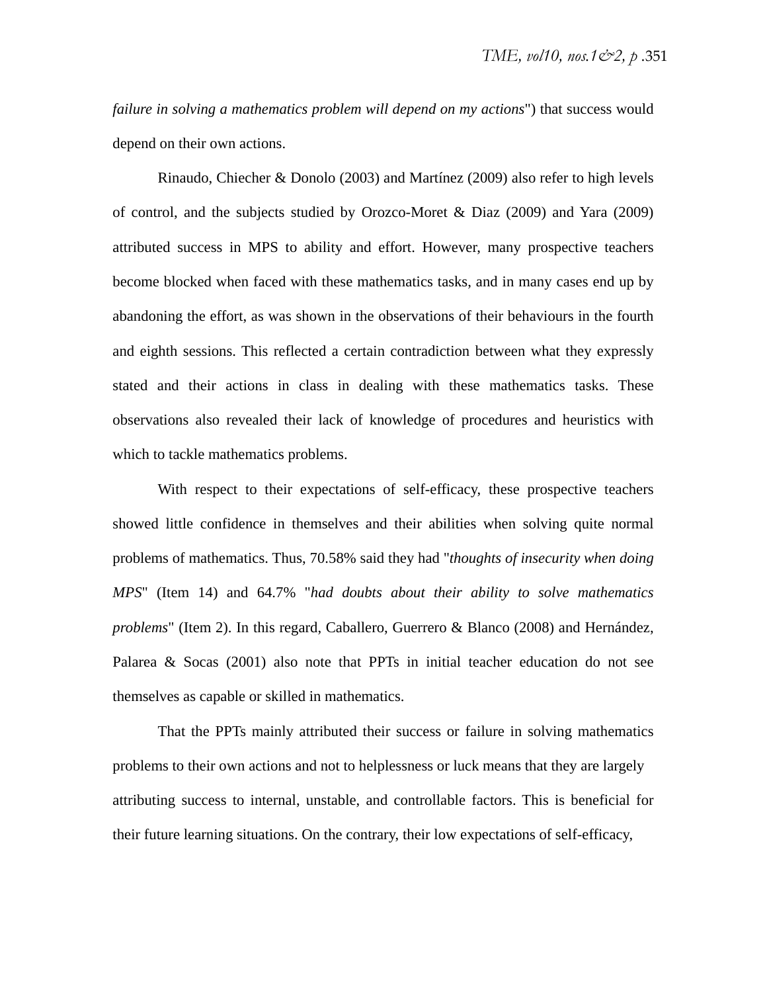*failure in solving a mathematics problem will depend on my actions*") that success would depend on their own actions.

Rinaudo, Chiecher & Donolo (2003) and Martínez (2009) also refer to high levels of control, and the subjects studied by Orozco-Moret & Diaz (2009) and Yara (2009) attributed success in MPS to ability and effort. However, many prospective teachers become blocked when faced with these mathematics tasks, and in many cases end up by abandoning the effort, as was shown in the observations of their behaviours in the fourth and eighth sessions. This reflected a certain contradiction between what they expressly stated and their actions in class in dealing with these mathematics tasks. These observations also revealed their lack of knowledge of procedures and heuristics with which to tackle mathematics problems.

With respect to their expectations of self-efficacy, these prospective teachers showed little confidence in themselves and their abilities when solving quite normal problems of mathematics. Thus, 70.58% said they had "*thoughts of insecurity when doing MPS*" (Item 14) and 64.7% "*had doubts about their ability to solve mathematics problems*" (Item 2). In this regard, Caballero, Guerrero & Blanco (2008) and Hernández, Palarea & Socas (2001) also note that PPTs in initial teacher education do not see themselves as capable or skilled in mathematics.

That the PPTs mainly attributed their success or failure in solving mathematics problems to their own actions and not to helplessness or luck means that they are largely attributing success to internal, unstable, and controllable factors. This is beneficial for their future learning situations. On the contrary, their low expectations of self-efficacy,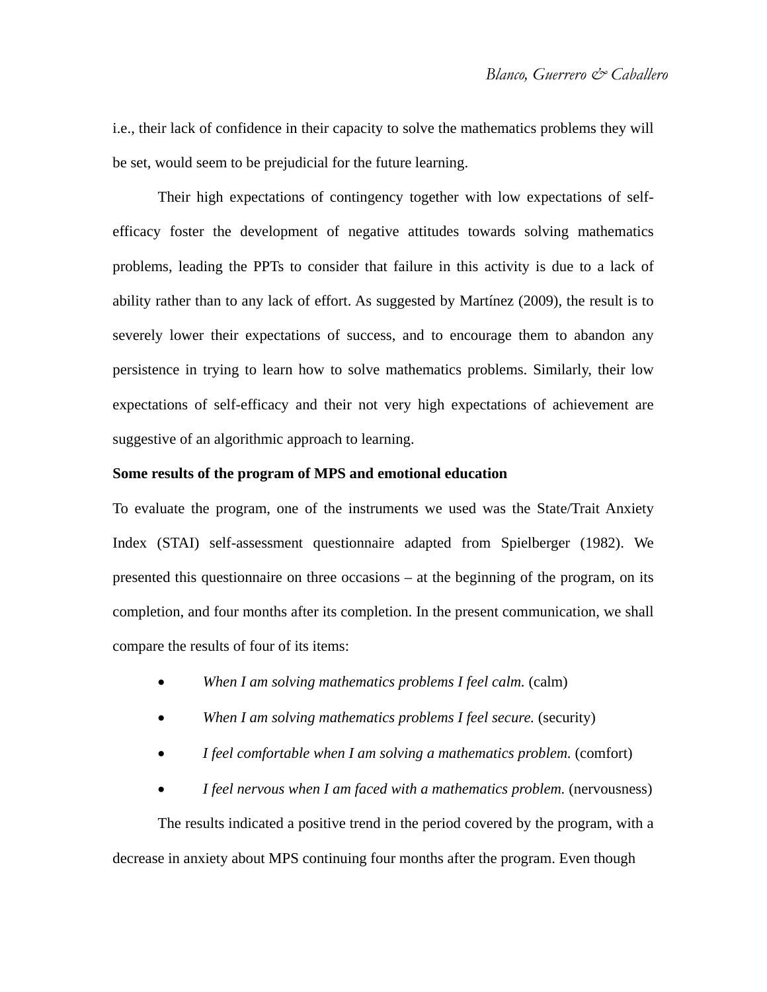i.e., their lack of confidence in their capacity to solve the mathematics problems they will be set, would seem to be prejudicial for the future learning.

Their high expectations of contingency together with low expectations of selfefficacy foster the development of negative attitudes towards solving mathematics problems, leading the PPTs to consider that failure in this activity is due to a lack of ability rather than to any lack of effort. As suggested by Martínez (2009), the result is to severely lower their expectations of success, and to encourage them to abandon any persistence in trying to learn how to solve mathematics problems. Similarly, their low expectations of self-efficacy and their not very high expectations of achievement are suggestive of an algorithmic approach to learning.

#### **Some results of the program of MPS and emotional education**

To evaluate the program, one of the instruments we used was the State/Trait Anxiety Index (STAI) self-assessment questionnaire adapted from Spielberger (1982). We presented this questionnaire on three occasions – at the beginning of the program, on its completion, and four months after its completion. In the present communication, we shall compare the results of four of its items:

- *When I am solving mathematics problems I feel calm.* (calm)
- *When I am solving mathematics problems I feel secure.* (security)
- *I feel comfortable when I am solving a mathematics problem.* (comfort)
- *I feel nervous when I am faced with a mathematics problem.* (nervousness)

The results indicated a positive trend in the period covered by the program, with a decrease in anxiety about MPS continuing four months after the program. Even though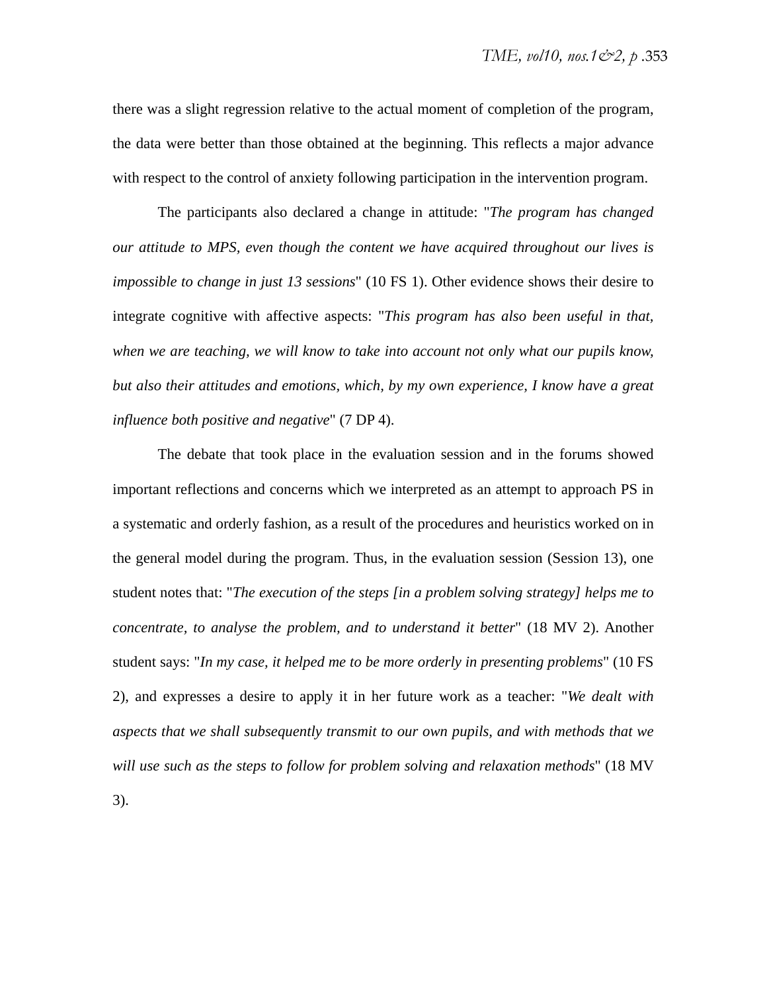there was a slight regression relative to the actual moment of completion of the program, the data were better than those obtained at the beginning. This reflects a major advance with respect to the control of anxiety following participation in the intervention program.

The participants also declared a change in attitude: "*The program has changed our attitude to MPS, even though the content we have acquired throughout our lives is impossible to change in just 13 sessions*" (10 FS 1). Other evidence shows their desire to integrate cognitive with affective aspects: "*This program has also been useful in that,*  when we are teaching, we will know to take into account not only what our pupils know, *but also their attitudes and emotions, which, by my own experience, I know have a great influence both positive and negative*" (7 DP 4).

The debate that took place in the evaluation session and in the forums showed important reflections and concerns which we interpreted as an attempt to approach PS in a systematic and orderly fashion, as a result of the procedures and heuristics worked on in the general model during the program. Thus, in the evaluation session (Session 13), one student notes that: "*The execution of the steps [in a problem solving strategy] helps me to concentrate, to analyse the problem, and to understand it better*" (18 MV 2). Another student says: "*In my case, it helped me to be more orderly in presenting problems*" (10 FS 2), and expresses a desire to apply it in her future work as a teacher: "*We dealt with aspects that we shall subsequently transmit to our own pupils, and with methods that we will use such as the steps to follow for problem solving and relaxation methods*" (18 MV 3).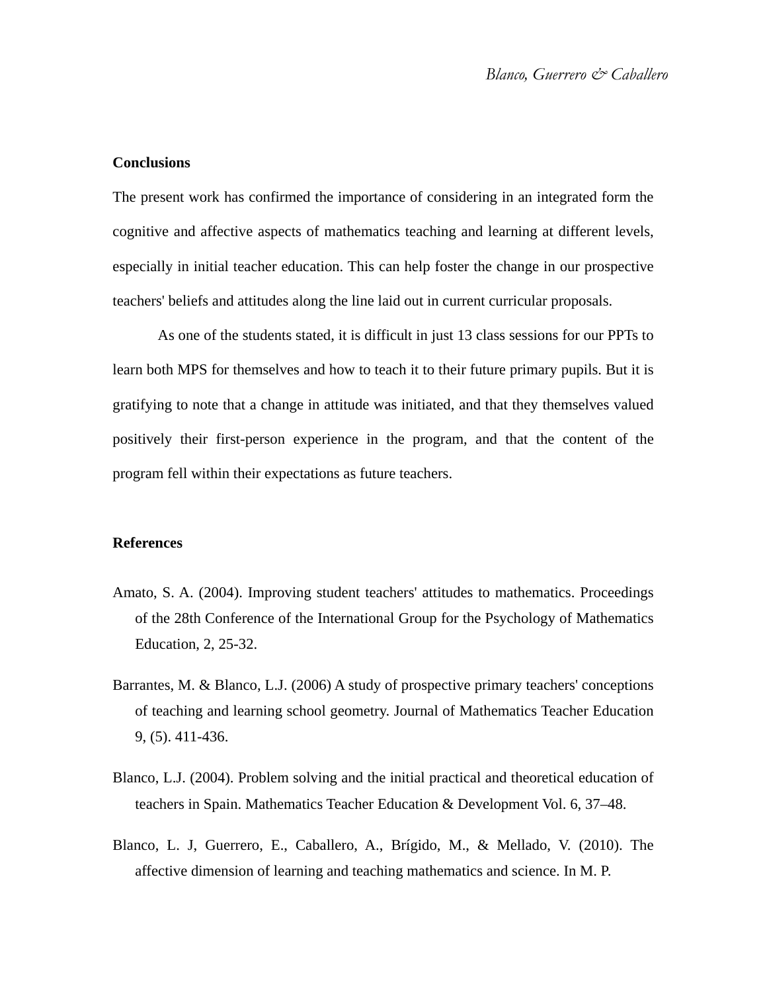#### **Conclusions**

The present work has confirmed the importance of considering in an integrated form the cognitive and affective aspects of mathematics teaching and learning at different levels, especially in initial teacher education. This can help foster the change in our prospective teachers' beliefs and attitudes along the line laid out in current curricular proposals.

As one of the students stated, it is difficult in just 13 class sessions for our PPTs to learn both MPS for themselves and how to teach it to their future primary pupils. But it is gratifying to note that a change in attitude was initiated, and that they themselves valued positively their first-person experience in the program, and that the content of the program fell within their expectations as future teachers.

#### **References**

- Amato, S. A. (2004). Improving student teachers' attitudes to mathematics. Proceedings of the 28th Conference of the International Group for the Psychology of Mathematics Education, 2, 25-32.
- Barrantes, M. & Blanco, L.J. (2006) A study of prospective primary teachers' conceptions of teaching and learning school geometry. Journal of Mathematics Teacher Education 9, (5). 411-436.
- Blanco, L.J. (2004). Problem solving and the initial practical and theoretical education of teachers in Spain. Mathematics Teacher Education & Development Vol. 6, 37–48.
- Blanco, L. J, Guerrero, E., Caballero, A., Brígido, M., & Mellado, V. (2010). The affective dimension of learning and teaching mathematics and science. In M. P.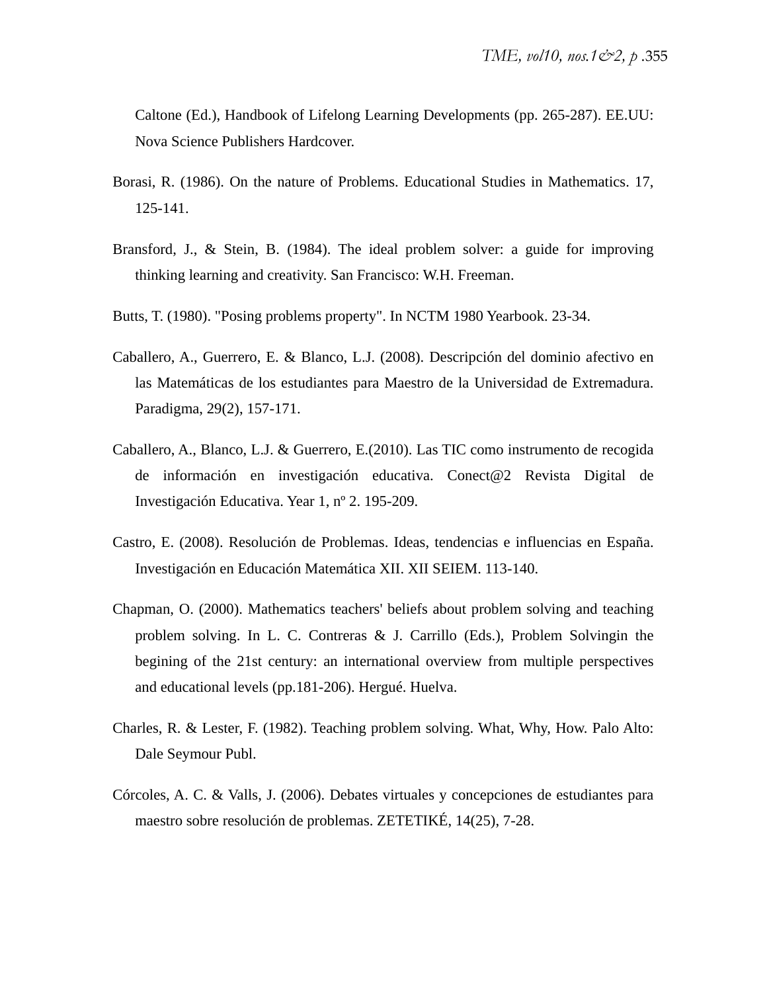Caltone (Ed.), Handbook of Lifelong Learning Developments (pp. 265-287). EE.UU: Nova Science Publishers Hardcover.

- Borasi, R. (1986). On the nature of Problems. Educational Studies in Mathematics. 17, 125-141.
- Bransford, J., & Stein, B. (1984). The ideal problem solver: a guide for improving thinking learning and creativity. San Francisco: W.H. Freeman.
- Butts, T. (1980). "Posing problems property". In NCTM 1980 Yearbook. 23-34.
- Caballero, A., Guerrero, E. & Blanco, L.J. (2008). Descripción del dominio afectivo en las Matemáticas de los estudiantes para Maestro de la Universidad de Extremadura. Paradigma, 29(2), 157-171.
- Caballero, A., Blanco, L.J. & Guerrero, E.(2010). Las TIC como instrumento de recogida de información en investigación educativa. Conect@2 Revista Digital de Investigación Educativa. Year 1, nº 2. 195-209.
- Castro, E. (2008). Resolución de Problemas. Ideas, tendencias e influencias en España. Investigación en Educación Matemática XII. XII SEIEM. 113-140.
- Chapman, O. (2000). Mathematics teachers' beliefs about problem solving and teaching problem solving. In L. C. Contreras & J. Carrillo (Eds.), Problem Solvingin the begining of the 21st century: an international overview from multiple perspectives and educational levels (pp.181-206). Hergué. Huelva.
- Charles, R. & Lester, F. (1982). Teaching problem solving. What, Why, How. Palo Alto: Dale Seymour Publ.
- Córcoles, A. C. & Valls, J. (2006). Debates virtuales y concepciones de estudiantes para maestro sobre resolución de problemas. ZETETIKÉ, 14(25), 7-28.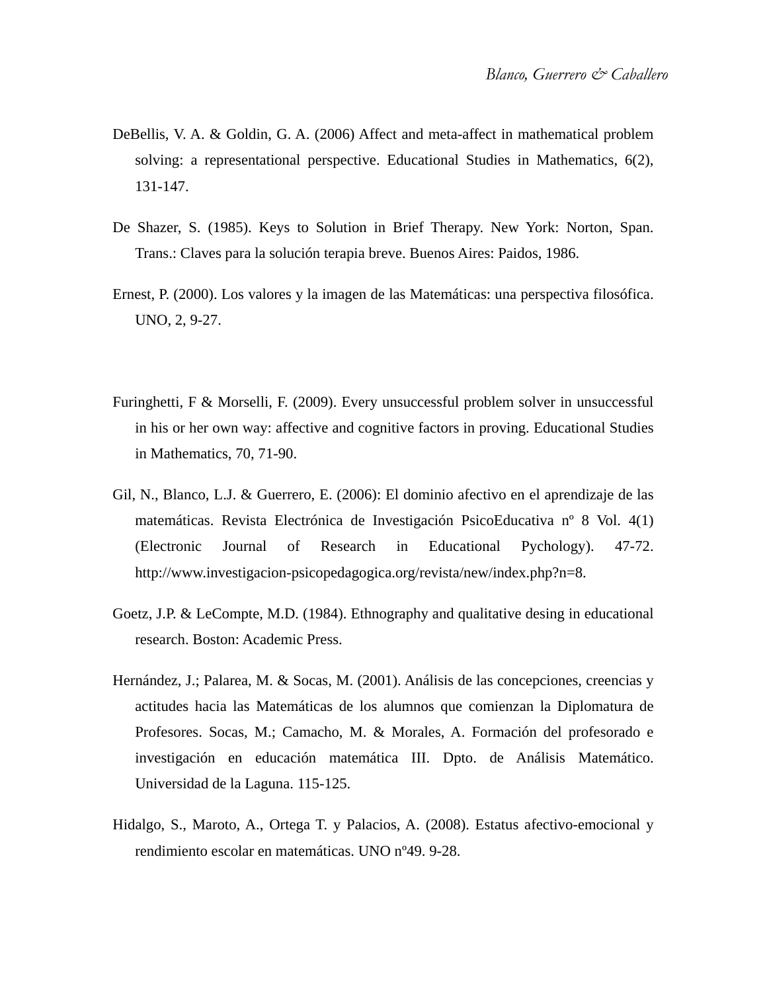- DeBellis, V. A. & Goldin, G. A. (2006) Affect and meta-affect in mathematical problem solving: a representational perspective. Educational Studies in Mathematics, 6(2), 131-147.
- De Shazer, S. (1985). Keys to Solution in Brief Therapy. New York: Norton, Span. Trans.: Claves para la solución terapia breve. Buenos Aires: Paidos, 1986.
- Ernest, P. (2000). Los valores y la imagen de las Matemáticas: una perspectiva filosófica. UNO, 2, 9-27.
- Furinghetti, F & Morselli, F. (2009). Every unsuccessful problem solver in unsuccessful in his or her own way: affective and cognitive factors in proving. Educational Studies in Mathematics, 70, 71-90.
- Gil, N., Blanco, L.J. & Guerrero, E. (2006): El dominio afectivo en el aprendizaje de las matemáticas. Revista Electrónica de Investigación PsicoEducativa nº 8 Vol. 4(1) (Electronic Journal of Research in Educational Pychology). 47-72. http://www.investigacion-psicopedagogica.org/revista/new/index.php?n=8.
- Goetz, J.P. & LeCompte, M.D. (1984). Ethnography and qualitative desing in educational research. Boston: Academic Press.
- Hernández, J.; Palarea, M. & Socas, M. (2001). Análisis de las concepciones, creencias y actitudes hacia las Matemáticas de los alumnos que comienzan la Diplomatura de Profesores. Socas, M.; Camacho, M. & Morales, A. Formación del profesorado e investigación en educación matemática III. Dpto. de Análisis Matemático. Universidad de la Laguna. 115-125.
- Hidalgo, S., Maroto, A., Ortega T. y Palacios, A. (2008). Estatus afectivo-emocional y rendimiento escolar en matemáticas. UNO nº49. 9-28.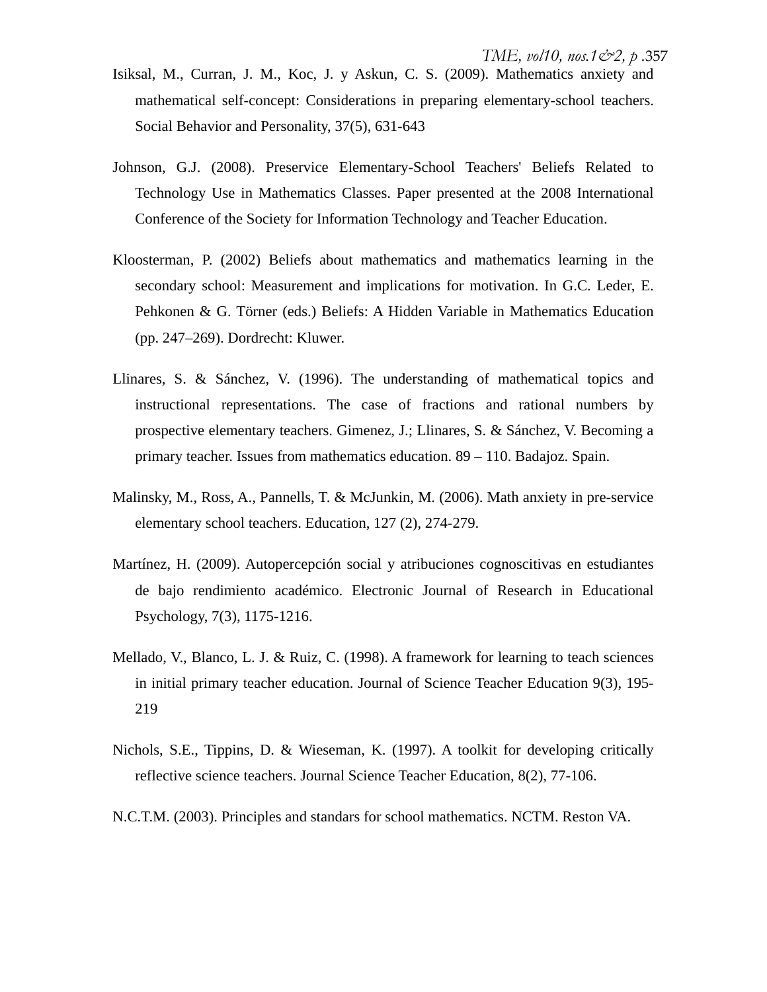- Isiksal, M., Curran, J. M., Koc, J. y Askun, C. S. (2009). Mathematics anxiety and mathematical self-concept: Considerations in preparing elementary-school teachers. Social Behavior and Personality, 37(5), 631-643
- Johnson, G.J. (2008). Preservice Elementary-School Teachers' Beliefs Related to Technology Use in Mathematics Classes. Paper presented at the 2008 International Conference of the Society for Information Technology and Teacher Education.
- Kloosterman, P. (2002) Beliefs about mathematics and mathematics learning in the secondary school: Measurement and implications for motivation. In G.C. Leder, E. Pehkonen & G. Törner (eds.) Beliefs: A Hidden Variable in Mathematics Education (pp. 247–269). Dordrecht: Kluwer.
- Llinares, S. & Sánchez, V. (1996). The understanding of mathematical topics and instructional representations. The case of fractions and rational numbers by prospective elementary teachers. Gimenez, J.; Llinares, S. & Sánchez, V. Becoming a primary teacher. Issues from mathematics education. 89 – 110. Badajoz. Spain.
- Malinsky, M., Ross, A., Pannells, T. & McJunkin, M. (2006). Math anxiety in pre-service elementary school teachers. Education, 127 (2), 274-279.
- Martínez, H. (2009). Autopercepción social y atribuciones cognoscitivas en estudiantes de bajo rendimiento académico. Electronic Journal of Research in Educational Psychology, 7(3), 1175-1216.
- Mellado, V., Blanco, L. J. & Ruiz, C. (1998). A framework for learning to teach sciences in initial primary teacher education. Journal of Science Teacher Education 9(3), 195- 219
- Nichols, S.E., Tippins, D. & Wieseman, K. (1997). A toolkit for developing critically reflective science teachers. Journal Science Teacher Education, 8(2), 77-106.
- N.C.T.M. (2003). Principles and standars for school mathematics. NCTM. Reston VA.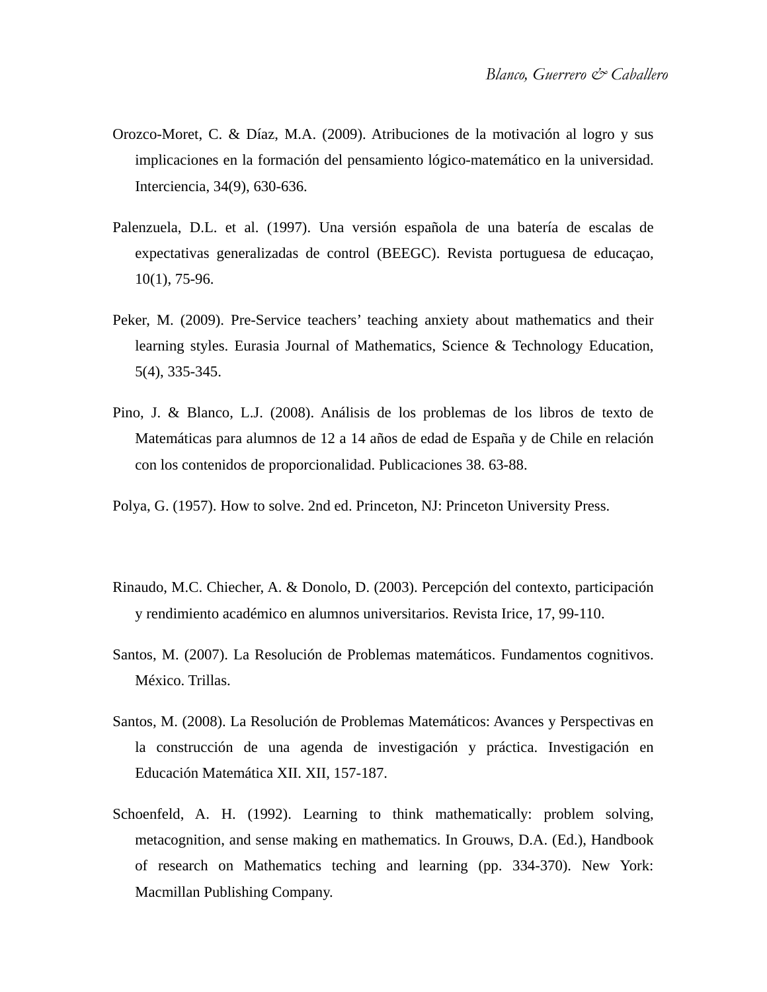- Orozco-Moret, C. & Díaz, M.A. (2009). Atribuciones de la motivación al logro y sus implicaciones en la formación del pensamiento lógico-matemático en la universidad. Interciencia, 34(9), 630-636.
- Palenzuela, D.L. et al. (1997). Una versión española de una batería de escalas de expectativas generalizadas de control (BEEGC). Revista portuguesa de educaçao, 10(1), 75-96.
- Peker, M. (2009). Pre-Service teachers' teaching anxiety about mathematics and their learning styles. Eurasia Journal of Mathematics, Science & Technology Education, 5(4), 335-345.
- Pino, J. & Blanco, L.J. (2008). Análisis de los problemas de los libros de texto de Matemáticas para alumnos de 12 a 14 años de edad de España y de Chile en relación con los contenidos de proporcionalidad. Publicaciones 38. 63-88.
- Polya, G. (1957). How to solve. 2nd ed. Princeton, NJ: Princeton University Press.
- Rinaudo, M.C. Chiecher, A. & Donolo, D. (2003). Percepción del contexto, participación y rendimiento académico en alumnos universitarios. Revista Irice, 17, 99-110.
- Santos, M. (2007). La Resolución de Problemas matemáticos. Fundamentos cognitivos. México. Trillas.
- Santos, M. (2008). La Resolución de Problemas Matemáticos: Avances y Perspectivas en la construcción de una agenda de investigación y práctica. Investigación en Educación Matemática XII. XII, 157-187.
- Schoenfeld, A. H. (1992). Learning to think mathematically: problem solving, metacognition, and sense making en mathematics. In Grouws, D.A. (Ed.), Handbook of research on Mathematics teching and learning (pp. 334-370). New York: Macmillan Publishing Company.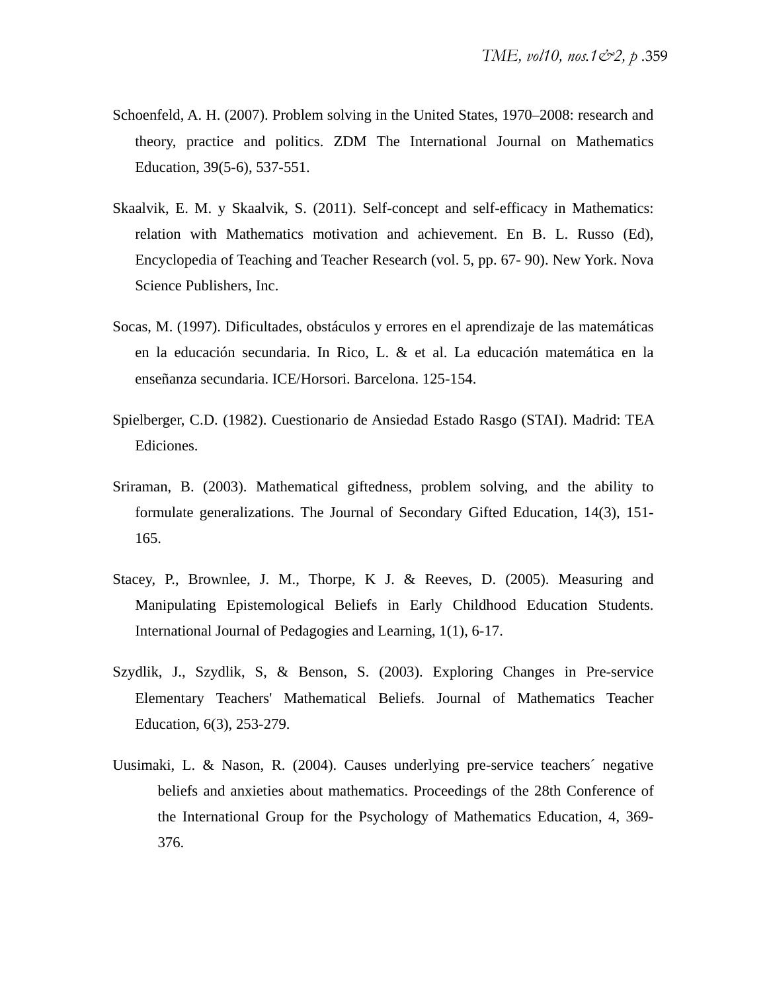- Schoenfeld, A. H. (2007). Problem solving in the United States, 1970–2008: research and theory, practice and politics. ZDM The International Journal on Mathematics Education, 39(5-6), 537-551.
- Skaalvik, E. M. y Skaalvik, S. (2011). Self-concept and self-efficacy in Mathematics: relation with Mathematics motivation and achievement. En B. L. Russo (Ed), Encyclopedia of Teaching and Teacher Research (vol. 5, pp. 67- 90). New York. Nova Science Publishers, Inc.
- Socas, M. (1997). Dificultades, obstáculos y errores en el aprendizaje de las matemáticas en la educación secundaria. In Rico, L. & et al. La educación matemática en la enseñanza secundaria. ICE/Horsori. Barcelona. 125-154.
- Spielberger, C.D. (1982). Cuestionario de Ansiedad Estado Rasgo (STAI). Madrid: TEA Ediciones.
- Sriraman, B. (2003). Mathematical giftedness, problem solving, and the ability to formulate generalizations. The Journal of Secondary Gifted Education, 14(3), 151- 165.
- Stacey, P., Brownlee, J. M., Thorpe, K J. & Reeves, D. (2005). Measuring and Manipulating Epistemological Beliefs in Early Childhood Education Students. International Journal of Pedagogies and Learning, 1(1), 6-17.
- Szydlik, J., Szydlik, S, & Benson, S. (2003). Exploring Changes in Pre-service Elementary Teachers' Mathematical Beliefs. Journal of Mathematics Teacher Education, 6(3), 253-279.
- Uusimaki, L. & Nason, R. (2004). Causes underlying pre-service teachers´ negative beliefs and anxieties about mathematics. Proceedings of the 28th Conference of the International Group for the Psychology of Mathematics Education, 4, 369- 376.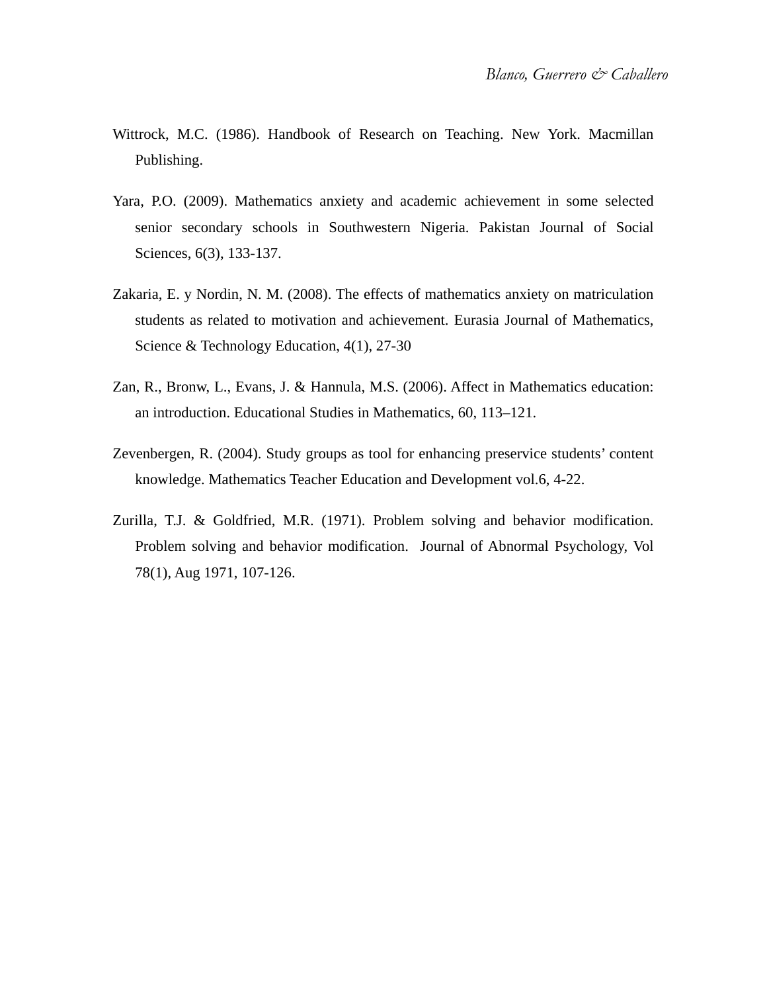- Wittrock, M.C. (1986). Handbook of Research on Teaching. New York. Macmillan Publishing.
- Yara, P.O. (2009). Mathematics anxiety and academic achievement in some selected senior secondary schools in Southwestern Nigeria. Pakistan Journal of Social Sciences, 6(3), 133-137.
- Zakaria, E. y Nordin, N. M. (2008). The effects of mathematics anxiety on matriculation students as related to motivation and achievement. Eurasia Journal of Mathematics, Science & Technology Education, 4(1), 27-30
- Zan, R., Bronw, L., Evans, J. & Hannula, M.S. (2006). Affect in Mathematics education: an introduction. Educational Studies in Mathematics, 60, 113–121.
- Zevenbergen, R. (2004). Study groups as tool for enhancing preservice students' content knowledge. Mathematics Teacher Education and Development vol.6, 4-22.
- Zurilla, T.J. & Goldfried, M.R. (1971). Problem solving and behavior modification. Problem solving and behavior modification. Journal of Abnormal Psychology, Vol 78(1), Aug 1971, 107-126.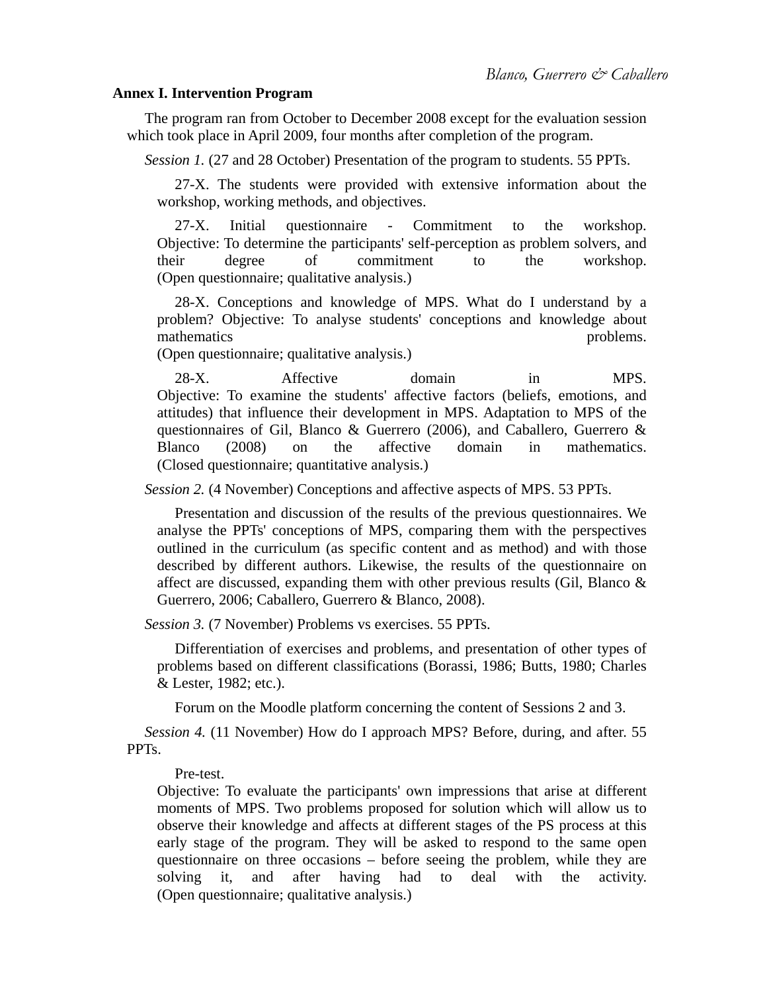## **Annex I. Intervention Program**

The program ran from October to December 2008 except for the evaluation session which took place in April 2009, four months after completion of the program.

*Session 1.* (27 and 28 October) Presentation of the program to students. 55 PPTs.

27-X. The students were provided with extensive information about the workshop, working methods, and objectives.

27-X. Initial questionnaire - Commitment to the workshop. Objective: To determine the participants' self-perception as problem solvers, and their degree of commitment to the workshop. (Open questionnaire; qualitative analysis.)

28-X. Conceptions and knowledge of MPS. What do I understand by a problem? Objective: To analyse students' conceptions and knowledge about mathematics problems.

(Open questionnaire; qualitative analysis.)

28-X. Affective domain in MPS. Objective: To examine the students' affective factors (beliefs, emotions, and attitudes) that influence their development in MPS. Adaptation to MPS of the questionnaires of Gil, Blanco & Guerrero (2006), and Caballero, Guerrero & Blanco (2008) on the affective domain in mathematics. (Closed questionnaire; quantitative analysis.)

*Session 2.* (4 November) Conceptions and affective aspects of MPS. 53 PPTs.

Presentation and discussion of the results of the previous questionnaires. We analyse the PPTs' conceptions of MPS, comparing them with the perspectives outlined in the curriculum (as specific content and as method) and with those described by different authors. Likewise, the results of the questionnaire on affect are discussed, expanding them with other previous results (Gil, Blanco & Guerrero, 2006; Caballero, Guerrero & Blanco, 2008).

*Session 3.* (7 November) Problems vs exercises. 55 PPTs.

Differentiation of exercises and problems, and presentation of other types of problems based on different classifications (Borassi, 1986; Butts, 1980; Charles & Lester, 1982; etc.).

Forum on the Moodle platform concerning the content of Sessions 2 and 3.

*Session 4.* (11 November) How do I approach MPS? Before, during, and after. 55 PPTs.

Pre-test.

Objective: To evaluate the participants' own impressions that arise at different moments of MPS. Two problems proposed for solution which will allow us to observe their knowledge and affects at different stages of the PS process at this early stage of the program. They will be asked to respond to the same open questionnaire on three occasions – before seeing the problem, while they are solving it, and after having had to deal with the activity. (Open questionnaire; qualitative analysis.)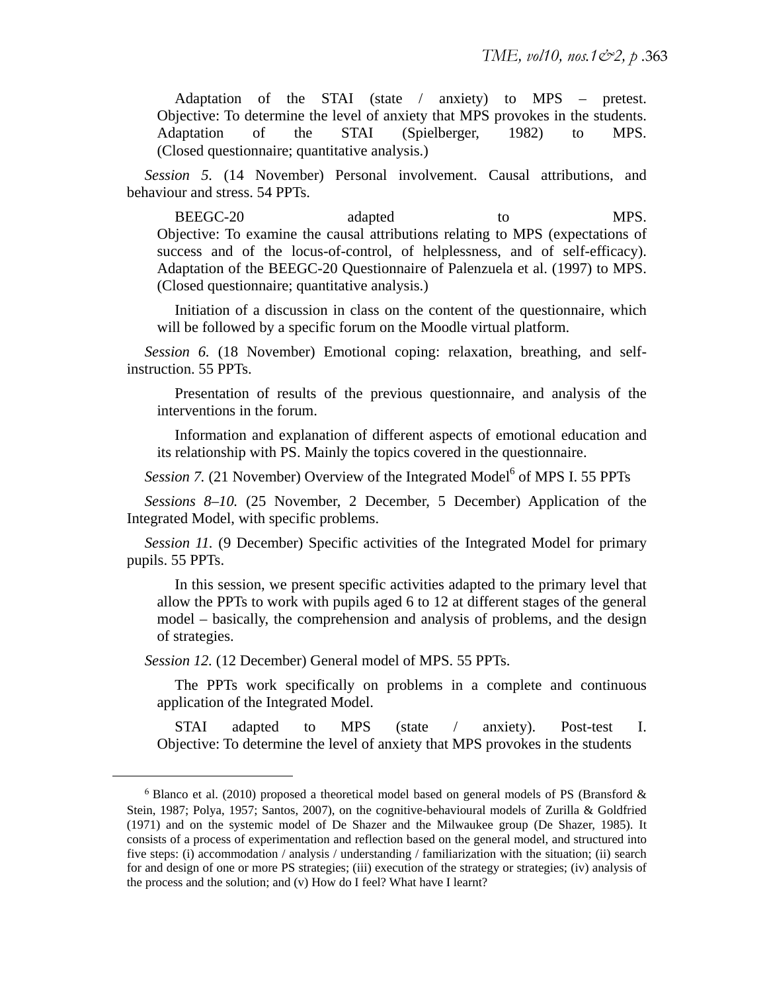Adaptation of the STAI (state / anxiety) to MPS – pretest. Objective: To determine the level of anxiety that MPS provokes in the students. Adaptation of the STAI (Spielberger, 1982) to MPS. (Closed questionnaire; quantitative analysis.)

*Session 5.* (14 November) Personal involvement. Causal attributions, and behaviour and stress. 54 PPTs.

BEEGC-20 adapted to MPS. Objective: To examine the causal attributions relating to MPS (expectations of success and of the locus-of-control, of helplessness, and of self-efficacy). Adaptation of the BEEGC-20 Questionnaire of Palenzuela et al. (1997) to MPS. (Closed questionnaire; quantitative analysis.)

Initiation of a discussion in class on the content of the questionnaire, which will be followed by a specific forum on the Moodle virtual platform.

*Session 6.* (18 November) Emotional coping: relaxation, breathing, and selfinstruction. 55 PPTs.

Presentation of results of the previous questionnaire, and analysis of the interventions in the forum.

Information and explanation of different aspects of emotional education and its relationship with PS. Mainly the topics covered in the questionnaire.

Session 7. (21 November) Overview of the Integrated Model<sup>6</sup> of MPS I. 55 PPTs

*Sessions 8–10.* (25 November, 2 December, 5 December) Application of the Integrated Model, with specific problems.

*Session 11.* (9 December) Specific activities of the Integrated Model for primary pupils. 55 PPTs.

In this session, we present specific activities adapted to the primary level that allow the PPTs to work with pupils aged 6 to 12 at different stages of the general model – basically, the comprehension and analysis of problems, and the design of strategies.

*Session 12.* (12 December) General model of MPS. 55 PPTs.

 $\overline{a}$ 

The PPTs work specifically on problems in a complete and continuous application of the Integrated Model.

STAI adapted to MPS (state / anxiety). Post-test I. Objective: To determine the level of anxiety that MPS provokes in the students

 $6$  Blanco et al. (2010) proposed a theoretical model based on general models of PS (Bransford  $\&$ Stein, 1987; Polya, 1957; Santos, 2007), on the cognitive-behavioural models of Zurilla & Goldfried (1971) and on the systemic model of De Shazer and the Milwaukee group (De Shazer, 1985). It consists of a process of experimentation and reflection based on the general model, and structured into five steps: (i) accommodation / analysis / understanding / familiarization with the situation; (ii) search for and design of one or more PS strategies; (iii) execution of the strategy or strategies; (iv) analysis of the process and the solution; and (v) How do I feel? What have I learnt?